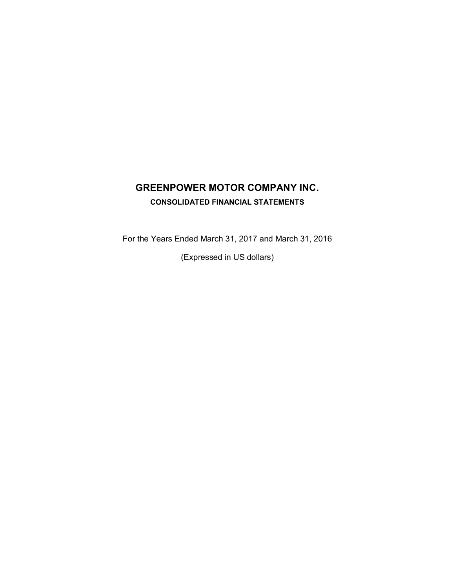# **GREENPOWER MOTOR COMPANY INC. CONSOLIDATED FINANCIAL STATEMENTS**

For the Years Ended March 31, 2017 and March 31, 2016

(Expressed in US dollars)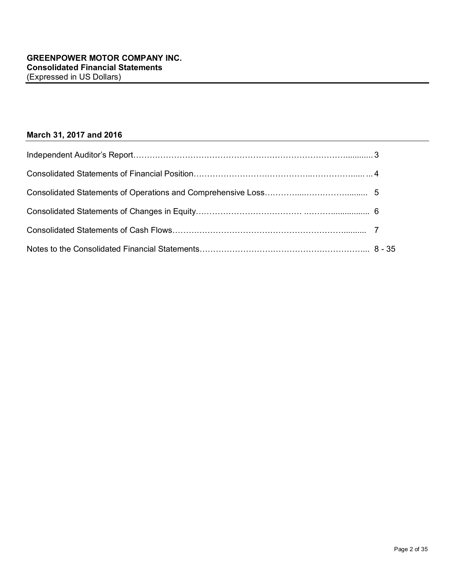# **March 31, 2017 and 2016**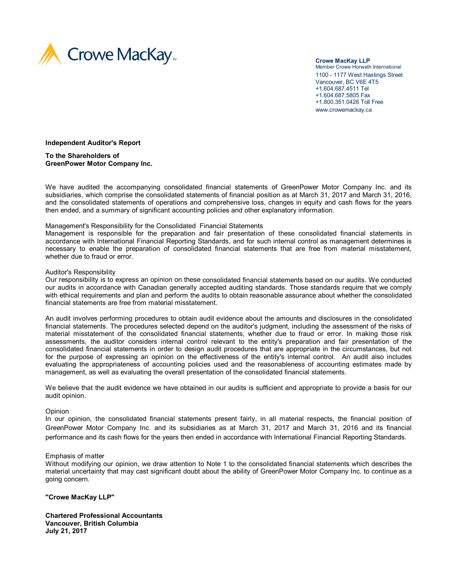

**Crowe MacKay LLP** Member Crowe Horwath International 1100 - 1177 West Hastings Street Vancouver, BC V6E 4T5 +1.604.687.4511 Tel +1.604.687.5805 Fax +1.800.351.0426 Toll Free www.crowemackay.ca

#### **Independent Auditor's Report**

**To the Shareholders of GreenPower Motor Company Inc.**

We have audited the accompanying consolidated financial statements of GreenPower Motor Company Inc. and its subsidiaries, which comprise the consolidated statements of financial position as at March 31, 2017 and March 31, 2016, and the consolidated statements of operations and comprehensive loss, changes in equity and cash flows for the years then ended, and a summary of significant accounting policies and other explanatory information.

#### Management's Responsibility for the Consolidated Financial Statements

Management is responsible for the preparation and fair presentation of these consolidated financial statements in accordance with International Financial Reporting Standards, and for such internal control as management determines is necessary to enable the preparation of consolidated financial statements that are free from material misstatement, whether due to fraud or error.

#### Auditor's Responsibility

Our responsibility is to express an opinion on these consolidated financial statements based on our audits. We conducted our audits in accordance with Canadian generally accepted auditing standards. Those standards require that we comply with ethical requirements and plan and perform the audits to obtain reasonable assurance about whether the consolidated financial statements are free from material misstatement.

An audit involves performing procedures to obtain audit evidence about the amounts and disclosures in the consolidated financial statements. The procedures selected depend on the auditor's judgment, including the assessment of the risks of material misstatement of the consolidated financial statements, whether due to fraud or error. In making those risk assessments, the auditor considers internal control relevant to the entity's preparation and fair presentation of the consolidated financial statements in order to design audit procedures that are appropriate in the circumstances, but not for the purpose of expressing an opinion on the effectiveness of the entity's internal control. An audit also includes evaluating the appropriateness of accounting policies used and the reasonableness of accounting estimates made by management, as well as evaluating the overall presentation of the consolidated financial statements.

We believe that the audit evidence we have obtained in our audits is sufficient and appropriate to provide a basis for our audit opinion.

#### Opinion

In our opinion, the consolidated financial statements present fairly, in all material respects, the financial position of GreenPower Motor Company Inc. and its subsidiaries as at March 31, 2017 and March 31, 2016 and its financial performance and its cash flows for the years then ended in accordance with International Financial Reporting Standards.

#### Emphasis of matter

Without modifying our opinion, we draw attention to Note 1 to the consolidated financial statements which describes the material uncertainty that may cast significant doubt about the ability of GreenPower Motor Company Inc. to continue as a going concern.

#### **"Crowe MacKay LLP"**

**Chartered Professional Accountants Vancouver, British Columbia July 21, 2017**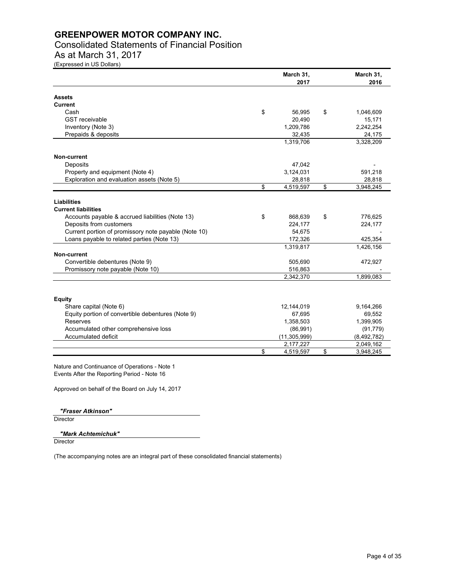# **GREENPOWER MOTOR COMPANY INC.**

# Consolidated Statements of Financial Position

As at March 31, 2017

(Expressed in US Dollars)

|                                                      | March 31,<br>2017 | March 31,<br>2016 |
|------------------------------------------------------|-------------------|-------------------|
| <b>Assets</b>                                        |                   |                   |
| Current                                              |                   |                   |
| Cash                                                 | \$<br>56,995      | \$<br>1,046,609   |
| <b>GST</b> receivable                                | 20,490            | 15,171            |
| Inventory (Note 3)                                   | 1,209,786         | 2,242,254         |
| Prepaids & deposits                                  | 32,435            | 24,175            |
|                                                      | 1,319,706         | 3,328,209         |
| Non-current                                          |                   |                   |
| Deposits                                             | 47,042            |                   |
| Property and equipment (Note 4)                      | 3,124,031         | 591,218           |
| Exploration and evaluation assets (Note 5)           | 28,818            | 28,818            |
|                                                      | \$<br>4,519,597   | \$<br>3,948,245   |
| <b>Liabilities</b>                                   |                   |                   |
| <b>Current liabilities</b>                           |                   |                   |
| Accounts payable & accrued liabilities (Note 13)     | \$<br>868,639     | \$<br>776,625     |
| Deposits from customers                              | 224,177           | 224,177           |
| Current portion of promissory note payable (Note 10) | 54,675            |                   |
| Loans payable to related parties (Note 13)           | 172,326           | 425,354           |
|                                                      | 1,319,817         | 1,426,156         |
| Non-current                                          |                   |                   |
| Convertible debentures (Note 9)                      | 505,690           | 472,927           |
| Promissory note payable (Note 10)                    | 516,863           |                   |
|                                                      | 2,342,370         | 1,899,083         |
| <b>Equity</b>                                        |                   |                   |
| Share capital (Note 6)                               | 12,144,019        | 9,164,266         |
| Equity portion of convertible debentures (Note 9)    | 67,695            | 69,552            |
| Reserves                                             | 1,358,503         | 1,399,905         |
| Accumulated other comprehensive loss                 | (86,991)          | (91, 779)         |
| Accumulated deficit                                  | (11, 305, 999)    | (8,492,782)       |
|                                                      | 2,177,227         | 2,049,162         |
|                                                      | \$<br>4,519,597   | \$<br>3,948,245   |

Events After the Reporting Period - Note 16

Approved on behalf of the Board on July 14, 2017

*"Fraser Atkinson"* **Director** 

*"Mark Achtemichuk"*

**Director**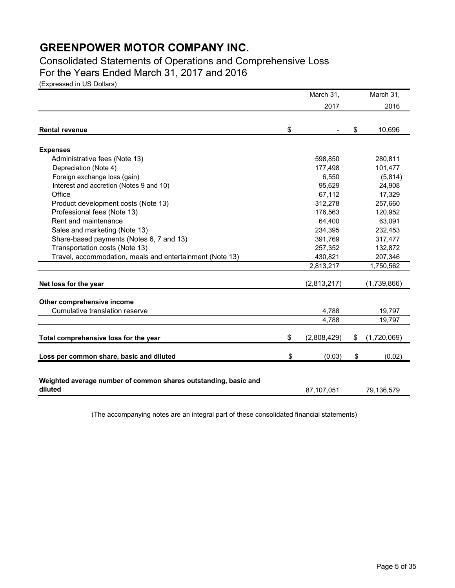# **GREENPOWER MOTOR COMPANY INC.**

# Consolidated Statements of Operations and Comprehensive Loss For the Years Ended March 31, 2017 and 2016

(Expressed in US Dollars)

| <b>Rental revenue</b>                                                      | \$<br>2017        | \$<br>2016<br>10,696 |
|----------------------------------------------------------------------------|-------------------|----------------------|
|                                                                            |                   |                      |
|                                                                            |                   |                      |
|                                                                            |                   |                      |
| <b>Expenses</b>                                                            |                   |                      |
| Administrative fees (Note 13)                                              | 598,850           | 280,811              |
| Depreciation (Note 4)                                                      | 177,498           | 101,477              |
| Foreign exchange loss (gain)                                               | 6,550             | (5,814)              |
| Interest and accretion (Notes 9 and 10)                                    | 95,629            | 24,908               |
| Office                                                                     | 67,112            | 17,329               |
| Product development costs (Note 13)                                        | 312,278           | 257,660              |
| Professional fees (Note 13)                                                | 176,563           | 120,952              |
| Rent and maintenance                                                       | 64,400            | 63,091               |
| Sales and marketing (Note 13)                                              | 234,395           | 232,453              |
| Share-based payments (Notes 6, 7 and 13)                                   | 391,769           | 317,477              |
| Transportation costs (Note 13)                                             | 257,352           | 132,872              |
| Travel, accommodation, meals and entertainment (Note 13)                   | 430,821           | 207,346              |
|                                                                            | 2,813,217         | 1,750,562            |
| Net loss for the year                                                      | (2,813,217)       | (1,739,866)          |
| Other comprehensive income                                                 |                   |                      |
| Cumulative translation reserve                                             | 4,788             | 19,797               |
|                                                                            | 4,788             | 19,797               |
| Total comprehensive loss for the year                                      | \$<br>(2,808,429) | \$<br>(1,720,069)    |
| Loss per common share, basic and diluted                                   | \$<br>(0.03)      | \$<br>(0.02)         |
| Weighted average number of common shares outstanding, basic and<br>diluted | 87,107,051        | 79,136,579           |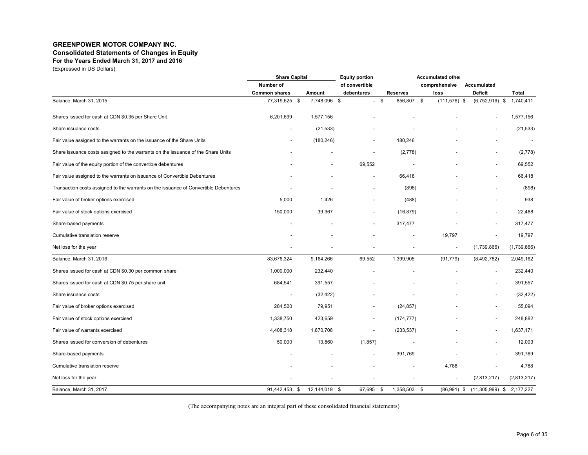### **For the Years Ended March 31, 2017 and 2016 GREENPOWER MOTOR COMPANY INC. Consolidated Statements of Changes in Equity**

(Expressed in US Dollars)

|                                                                                      | <b>Share Capital</b>     |               | <b>Equity portion</b>    | <b>Accumulated other</b> |                               |                          |             |  |
|--------------------------------------------------------------------------------------|--------------------------|---------------|--------------------------|--------------------------|-------------------------------|--------------------------|-------------|--|
|                                                                                      | Number of                |               | of convertible           |                          | comprehensive                 | Accumulated              |             |  |
|                                                                                      | <b>Common shares</b>     | Amount        | debentures               | <b>Reserves</b>          | loss                          | <b>Deficit</b>           | Total       |  |
| Balance, March 31, 2015                                                              | 77,319,625 \$            | 7,748,096 \$  |                          | $-$ \$<br>856,807        | $\sqrt{3}$<br>$(111, 576)$ \$ | $(6,752,916)$ \$         | 1,740,411   |  |
| Shares issued for cash at CDN \$0.35 per Share Unit                                  | 6,201,699                | 1,577,156     |                          |                          |                               |                          | 1,577,156   |  |
| Share issuance costs                                                                 | $\overline{\phantom{a}}$ | (21, 533)     |                          |                          |                               |                          | (21, 533)   |  |
| Fair value assigned to the warrants on the issuance of the Share Units               |                          | (180, 246)    |                          | 180,246                  |                               |                          |             |  |
| Share issuance costs assigned to the warrants on the issuance of the Share Units     |                          |               | ÷,                       | (2,778)                  |                               | $\overline{\phantom{a}}$ | (2,778)     |  |
| Fair value of the equity portion of the convertible debentures                       |                          |               | 69,552                   |                          |                               |                          | 69,552      |  |
| Fair value assigned to the warrants on issuance of Convertible Debentures            |                          |               | $\blacksquare$           | 66,418                   |                               |                          | 66,418      |  |
| Transaction costs assigned to the warrants on the issuance of Convertible Debentures |                          |               | $\overline{\phantom{a}}$ | (898)                    |                               | $\overline{\phantom{a}}$ | (898)       |  |
| Fair value of broker options exercised                                               | 5,000                    | 1,426         |                          | (488)                    |                               |                          | 938         |  |
| Fair value of stock options exercised                                                | 150,000                  | 39,367        | $\overline{a}$           | (16, 879)                |                               | $\overline{\phantom{a}}$ | 22,488      |  |
| Share-based payments                                                                 |                          |               |                          | 317,477                  |                               |                          | 317,477     |  |
| Cumulative translation reserve                                                       |                          |               |                          |                          | 19,797                        |                          | 19,797      |  |
| Net loss for the year                                                                |                          |               |                          |                          | $\blacksquare$                | (1,739,866)              | (1,739,866) |  |
| Balance, March 31, 2016                                                              | 83,676,324               | 9,164,266     | 69,552                   | 1,399,905                | (91, 779)                     | (8,492,782)              | 2,049,162   |  |
| Shares issued for cash at CDN \$0.30 per common share                                | 1,000,000                | 232,440       |                          |                          |                               | $\blacksquare$           | 232,440     |  |
| Shares issued for cash at CDN \$0.75 per share unit                                  | 684,541                  | 391,557       |                          |                          |                               | $\overline{\phantom{a}}$ | 391,557     |  |
| Share issuance costs                                                                 |                          | (32, 422)     |                          |                          |                               |                          | (32, 422)   |  |
| Fair value of broker options exercised                                               | 284,520                  | 79,951        | $\overline{\phantom{m}}$ | (24, 857)                |                               |                          | 55,094      |  |
| Fair value of stock options exercised                                                | 1,338,750                | 423,659       |                          | (174, 777)               |                               |                          | 248,882     |  |
| Fair value of warrants exercised                                                     | 4,408,318                | 1,870,708     |                          | (233, 537)               |                               |                          | 1,637,171   |  |
| Shares issued for conversion of debentures                                           | 50,000                   | 13,860        | (1, 857)                 |                          |                               |                          | 12,003      |  |
| Share-based payments                                                                 |                          |               |                          | 391,769                  |                               |                          | 391,769     |  |
| Cumulative translation reserve                                                       |                          |               |                          |                          | 4,788                         |                          | 4,788       |  |
| Net loss for the year                                                                |                          |               |                          |                          |                               | (2,813,217)              | (2,813,217) |  |
| Balance, March 31, 2017                                                              | 91,442,453 \$            | 12,144,019 \$ | 67,695 \$                | 1,358,503 \$             | $(86,991)$ \$                 | (11, 305, 999)<br>\$     | 2,177,227   |  |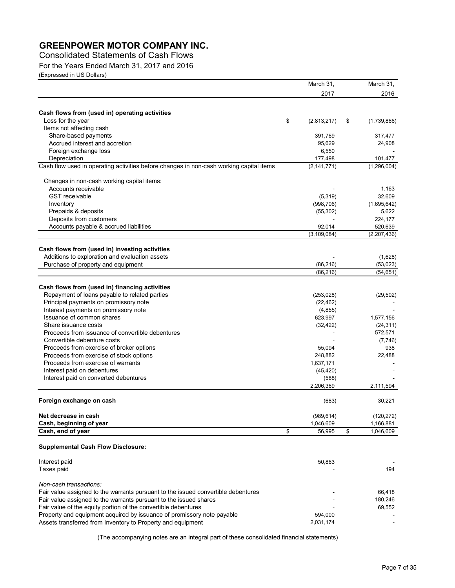# **GREENPOWER MOTOR COMPANY INC.**

Consolidated Statements of Cash Flows

For the Years Ended March 31, 2017 and 2016

(Expressed in US Dollars)

|                                                                                         | March 31,         |    | March 31,     |
|-----------------------------------------------------------------------------------------|-------------------|----|---------------|
|                                                                                         | 2017              |    | 2016          |
| Cash flows from (used in) operating activities                                          |                   |    |               |
| Loss for the year                                                                       | \$<br>(2,813,217) | \$ | (1,739,866)   |
| Items not affecting cash                                                                |                   |    |               |
| Share-based payments                                                                    | 391,769           |    | 317,477       |
| Accrued interest and accretion                                                          | 95,629            |    | 24,908        |
| Foreign exchange loss                                                                   | 6,550             |    |               |
| Depreciation                                                                            | 177,498           |    | 101,477       |
| Cash flow used in operating activities before changes in non-cash working capital items | (2, 141, 771)     |    | (1, 296, 004) |
| Changes in non-cash working capital items:                                              |                   |    |               |
| Accounts receivable                                                                     |                   |    | 1,163         |
| <b>GST</b> receivable                                                                   | (5, 319)          |    | 32,609        |
| Inventory                                                                               | (998, 706)        |    | (1,695,642)   |
| Prepaids & deposits                                                                     | (55, 302)         |    | 5,622         |
| Deposits from customers                                                                 |                   |    | 224,177       |
| Accounts payable & accrued liabilities                                                  | 92,014            |    | 520,639       |
|                                                                                         | (3, 109, 084)     |    | (2,207,436)   |
| Cash flows from (used in) investing activities                                          |                   |    |               |
| Additions to exploration and evaluation assets                                          |                   |    | (1,628)       |
| Purchase of property and equipment                                                      | (86, 216)         |    | (53, 023)     |
|                                                                                         | (86, 216)         |    | (54, 651)     |
| Cash flows from (used in) financing activities                                          |                   |    |               |
| Repayment of loans payable to related parties                                           | (253, 028)        |    | (29, 502)     |
| Principal payments on promissory note                                                   | (22, 462)         |    |               |
| Interest payments on promissory note                                                    | (4, 855)          |    |               |
| Issuance of common shares                                                               | 623,997           |    | 1,577,156     |
| Share issuance costs                                                                    | (32, 422)         |    | (24, 311)     |
| Proceeds from issuance of convertible debentures                                        |                   |    | 572,571       |
| Convertible debenture costs                                                             |                   |    | (7,746)       |
| Proceeds from exercise of broker options                                                | 55,094            |    | 938           |
| Proceeds from exercise of stock options                                                 | 248,882           |    | 22,488        |
| Proceeds from exercise of warrants                                                      | 1,637,171         |    |               |
| Interest paid on debentures                                                             | (45, 420)         |    |               |
| Interest paid on converted debentures                                                   | (588)             |    |               |
|                                                                                         | 2,206,369         |    | 2,111,594     |
| Foreign exchange on cash                                                                | (683)             |    | 30,221        |
| Net decrease in cash                                                                    | (989, 614)        |    | (120, 272)    |
| Cash, beginning of year                                                                 | 1,046,609         |    | 1,166,881     |
| Cash, end of year                                                                       | \$<br>56,995      | \$ | 1,046,609     |
|                                                                                         |                   |    |               |
| <b>Supplemental Cash Flow Disclosure:</b>                                               |                   |    |               |
| Interest paid                                                                           | 50,863            |    |               |
| Taxes paid                                                                              |                   |    | 194           |
| Non-cash transactions:                                                                  |                   |    |               |
| Fair value assigned to the warrants pursuant to the issued convertible debentures       |                   |    | 66,418        |
| Fair value assigned to the warrants pursuant to the issued shares                       |                   |    | 180,246       |
| Fair value of the equity portion of the convertible debentures                          |                   |    | 69,552        |
| Property and equipment acquired by issuance of promissory note payable                  | 594,000           |    |               |
| Assets transferred from Inventory to Property and equipment                             | 2,031,174         |    |               |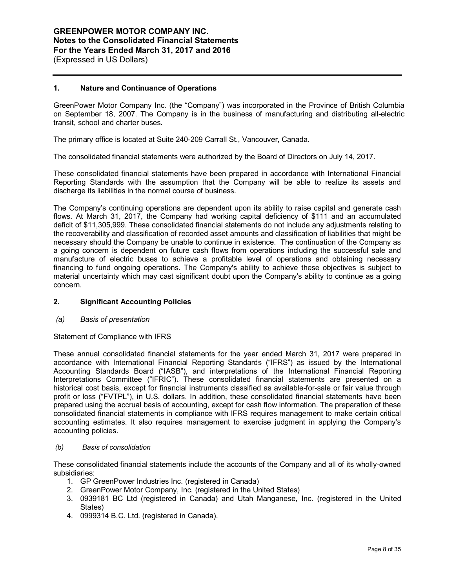(Expressed in US Dollars)

### **1. Nature and Continuance of Operations**

GreenPower Motor Company Inc. (the "Company") was incorporated in the Province of British Columbia on September 18, 2007. The Company is in the business of manufacturing and distributing all-electric transit, school and charter buses.

The primary office is located at Suite 240-209 Carrall St., Vancouver, Canada.

The consolidated financial statements were authorized by the Board of Directors on July 14, 2017.

These consolidated financial statements have been prepared in accordance with International Financial Reporting Standards with the assumption that the Company will be able to realize its assets and discharge its liabilities in the normal course of business.

The Company's continuing operations are dependent upon its ability to raise capital and generate cash flows. At March 31, 2017, the Company had working capital deficiency of \$111 and an accumulated deficit of \$11,305,999. These consolidated financial statements do not include any adjustments relating to the recoverability and classification of recorded asset amounts and classification of liabilities that might be necessary should the Company be unable to continue in existence. The continuation of the Company as a going concern is dependent on future cash flows from operations including the successful sale and manufacture of electric buses to achieve a profitable level of operations and obtaining necessary financing to fund ongoing operations. The Company's ability to achieve these objectives is subject to material uncertainty which may cast significant doubt upon the Company's ability to continue as a going concern.

### **2. Significant Accounting Policies**

*(a) Basis of presentation*

Statement of Compliance with IFRS

These annual consolidated financial statements for the year ended March 31, 2017 were prepared in accordance with International Financial Reporting Standards ("IFRS") as issued by the International Accounting Standards Board ("IASB"), and interpretations of the International Financial Reporting Interpretations Committee ("IFRIC"). These consolidated financial statements are presented on a historical cost basis, except for financial instruments classified as available-for-sale or fair value through profit or loss ("FVTPL"), in U.S. dollars. In addition, these consolidated financial statements have been prepared using the accrual basis of accounting, except for cash flow information. The preparation of these consolidated financial statements in compliance with IFRS requires management to make certain critical accounting estimates. It also requires management to exercise judgment in applying the Company's accounting policies.

#### *(b) Basis of consolidation*

These consolidated financial statements include the accounts of the Company and all of its wholly-owned subsidiaries:

- 1. GP GreenPower Industries Inc. (registered in Canada)
- 2. GreenPower Motor Company, Inc. (registered in the United States)
- 3. 0939181 BC Ltd (registered in Canada) and Utah Manganese, Inc. (registered in the United States)
- 4. 0999314 B.C. Ltd. (registered in Canada).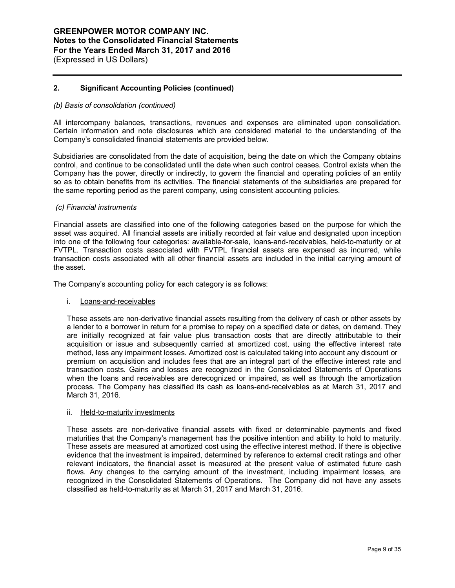(Expressed in US Dollars)

# **2. Significant Accounting Policies (continued)**

#### *(b) Basis of consolidation (continued)*

All intercompany balances, transactions, revenues and expenses are eliminated upon consolidation. Certain information and note disclosures which are considered material to the understanding of the Company's consolidated financial statements are provided below.

Subsidiaries are consolidated from the date of acquisition, being the date on which the Company obtains control, and continue to be consolidated until the date when such control ceases. Control exists when the Company has the power, directly or indirectly, to govern the financial and operating policies of an entity so as to obtain benefits from its activities. The financial statements of the subsidiaries are prepared for the same reporting period as the parent company, using consistent accounting policies.

#### *(c) Financial instruments*

Financial assets are classified into one of the following categories based on the purpose for which the asset was acquired. All financial assets are initially recorded at fair value and designated upon inception into one of the following four categories: available-for-sale, loans-and-receivables, held-to-maturity or at FVTPL. Transaction costs associated with FVTPL financial assets are expensed as incurred, while transaction costs associated with all other financial assets are included in the initial carrying amount of the asset.

The Company's accounting policy for each category is as follows:

#### i. Loans-and-receivables

These assets are non-derivative financial assets resulting from the delivery of cash or other assets by a lender to a borrower in return for a promise to repay on a specified date or dates, on demand. They are initially recognized at fair value plus transaction costs that are directly attributable to their acquisition or issue and subsequently carried at amortized cost, using the effective interest rate method, less any impairment losses. Amortized cost is calculated taking into account any discount or premium on acquisition and includes fees that are an integral part of the effective interest rate and transaction costs. Gains and losses are recognized in the Consolidated Statements of Operations when the loans and receivables are derecognized or impaired, as well as through the amortization process. The Company has classified its cash as loans-and-receivables as at March 31, 2017 and March 31, 2016.

#### ii. Held-to-maturity investments

These assets are non-derivative financial assets with fixed or determinable payments and fixed maturities that the Company's management has the positive intention and ability to hold to maturity. These assets are measured at amortized cost using the effective interest method. If there is objective evidence that the investment is impaired, determined by reference to external credit ratings and other relevant indicators, the financial asset is measured at the present value of estimated future cash flows. Any changes to the carrying amount of the investment, including impairment losses, are recognized in the Consolidated Statements of Operations. The Company did not have any assets classified as held-to-maturity as at March 31, 2017 and March 31, 2016.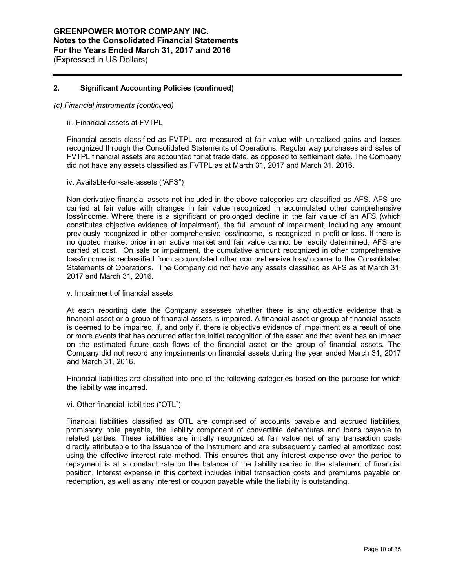(Expressed in US Dollars)

### **2. Significant Accounting Policies (continued)**

#### *(c) Financial instruments (continued)*

#### iii. Financial assets at FVTPL

Financial assets classified as FVTPL are measured at fair value with unrealized gains and losses recognized through the Consolidated Statements of Operations. Regular way purchases and sales of FVTPL financial assets are accounted for at trade date, as opposed to settlement date. The Company did not have any assets classified as FVTPL as at March 31, 2017 and March 31, 2016.

#### iv. Available-for-sale assets ("AFS")

Non-derivative financial assets not included in the above categories are classified as AFS. AFS are carried at fair value with changes in fair value recognized in accumulated other comprehensive loss/income. Where there is a significant or prolonged decline in the fair value of an AFS (which constitutes objective evidence of impairment), the full amount of impairment, including any amount previously recognized in other comprehensive loss/income, is recognized in profit or loss. If there is no quoted market price in an active market and fair value cannot be readily determined, AFS are carried at cost. On sale or impairment, the cumulative amount recognized in other comprehensive loss/income is reclassified from accumulated other comprehensive loss/income to the Consolidated Statements of Operations. The Company did not have any assets classified as AFS as at March 31, 2017 and March 31, 2016.

### v. Impairment of financial assets

At each reporting date the Company assesses whether there is any objective evidence that a financial asset or a group of financial assets is impaired. A financial asset or group of financial assets is deemed to be impaired, if, and only if, there is objective evidence of impairment as a result of one or more events that has occurred after the initial recognition of the asset and that event has an impact on the estimated future cash flows of the financial asset or the group of financial assets. The Company did not record any impairments on financial assets during the year ended March 31, 2017 and March 31, 2016.

Financial liabilities are classified into one of the following categories based on the purpose for which the liability was incurred.

### vi. Other financial liabilities ("OTL")

Financial liabilities classified as OTL are comprised of accounts payable and accrued liabilities, promissory note payable, the liability component of convertible debentures and loans payable to related parties. These liabilities are initially recognized at fair value net of any transaction costs directly attributable to the issuance of the instrument and are subsequently carried at amortized cost using the effective interest rate method. This ensures that any interest expense over the period to repayment is at a constant rate on the balance of the liability carried in the statement of financial position. Interest expense in this context includes initial transaction costs and premiums payable on redemption, as well as any interest or coupon payable while the liability is outstanding.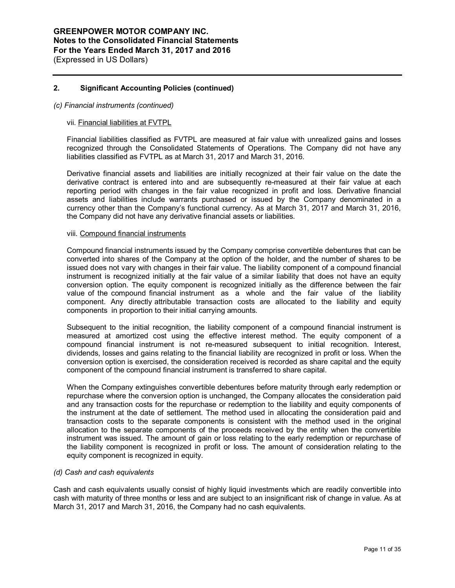(Expressed in US Dollars)

### **2. Significant Accounting Policies (continued)**

#### *(c) Financial instruments (continued)*

#### vii. Financial liabilities at FVTPL

Financial liabilities classified as FVTPL are measured at fair value with unrealized gains and losses recognized through the Consolidated Statements of Operations. The Company did not have any liabilities classified as FVTPL as at March 31, 2017 and March 31, 2016.

Derivative financial assets and liabilities are initially recognized at their fair value on the date the derivative contract is entered into and are subsequently re-measured at their fair value at each reporting period with changes in the fair value recognized in profit and loss. Derivative financial assets and liabilities include warrants purchased or issued by the Company denominated in a currency other than the Company's functional currency. As at March 31, 2017 and March 31, 2016, the Company did not have any derivative financial assets or liabilities.

#### viii. Compound financial instruments

Compound financial instruments issued by the Company comprise convertible debentures that can be converted into shares of the Company at the option of the holder, and the number of shares to be issued does not vary with changes in their fair value. The liability component of a compound financial instrument is recognized initially at the fair value of a similar liability that does not have an equity conversion option. The equity component is recognized initially as the difference between the fair value of the compound financial instrument as a whole and the fair value of the liability component. Any directly attributable transaction costs are allocated to the liability and equity components in proportion to their initial carrying amounts.

Subsequent to the initial recognition, the liability component of a compound financial instrument is measured at amortized cost using the effective interest method. The equity component of a compound financial instrument is not re-measured subsequent to initial recognition. Interest, dividends, losses and gains relating to the financial liability are recognized in profit or loss. When the conversion option is exercised, the consideration received is recorded as share capital and the equity component of the compound financial instrument is transferred to share capital.

When the Company extinguishes convertible debentures before maturity through early redemption or repurchase where the conversion option is unchanged, the Company allocates the consideration paid and any transaction costs for the repurchase or redemption to the liability and equity components of the instrument at the date of settlement. The method used in allocating the consideration paid and transaction costs to the separate components is consistent with the method used in the original allocation to the separate components of the proceeds received by the entity when the convertible instrument was issued. The amount of gain or loss relating to the early redemption or repurchase of the liability component is recognized in profit or loss. The amount of consideration relating to the equity component is recognized in equity.

### *(d) Cash and cash equivalents*

Cash and cash equivalents usually consist of highly liquid investments which are readily convertible into cash with maturity of three months or less and are subject to an insignificant risk of change in value. As at March 31, 2017 and March 31, 2016, the Company had no cash equivalents.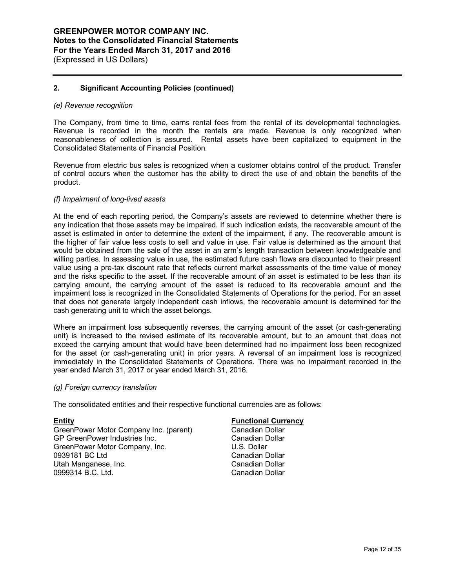(Expressed in US Dollars)

### **2. Significant Accounting Policies (continued)**

#### *(e) Revenue recognition*

The Company, from time to time, earns rental fees from the rental of its developmental technologies. Revenue is recorded in the month the rentals are made. Revenue is only recognized when reasonableness of collection is assured. Rental assets have been capitalized to equipment in the Consolidated Statements of Financial Position.

Revenue from electric bus sales is recognized when a customer obtains control of the product. Transfer of control occurs when the customer has the ability to direct the use of and obtain the benefits of the product.

#### *(f) Impairment of long-lived assets*

At the end of each reporting period, the Company's assets are reviewed to determine whether there is any indication that those assets may be impaired. If such indication exists, the recoverable amount of the asset is estimated in order to determine the extent of the impairment, if any. The recoverable amount is the higher of fair value less costs to sell and value in use. Fair value is determined as the amount that would be obtained from the sale of the asset in an arm's length transaction between knowledgeable and willing parties. In assessing value in use, the estimated future cash flows are discounted to their present value using a pre-tax discount rate that reflects current market assessments of the time value of money and the risks specific to the asset. If the recoverable amount of an asset is estimated to be less than its carrying amount, the carrying amount of the asset is reduced to its recoverable amount and the impairment loss is recognized in the Consolidated Statements of Operations for the period. For an asset that does not generate largely independent cash inflows, the recoverable amount is determined for the cash generating unit to which the asset belongs.

Where an impairment loss subsequently reverses, the carrying amount of the asset (or cash-generating unit) is increased to the revised estimate of its recoverable amount, but to an amount that does not exceed the carrying amount that would have been determined had no impairment loss been recognized for the asset (or cash-generating unit) in prior years. A reversal of an impairment loss is recognized immediately in the Consolidated Statements of Operations. There was no impairment recorded in the year ended March 31, 2017 or year ended March 31, 2016.

#### *(g) Foreign currency translation*

The consolidated entities and their respective functional currencies are as follows:

GreenPower Motor Company Inc. (parent) Canadian Dollar<br>GP GreenPower Industries Inc. Canadian Dollar GP GreenPower Industries Inc. GreenPower Motor Company, Inc. **Example 20 Your Company**, Inc. **U.S. Dollar** 0939181 BC Ltd Canadian Dollar Utah Manganese, Inc. **Canadian Dollar** Canadian Dollar 0999314 B.C. Ltd. Canadian Dollar

### **Entity Functional Currency**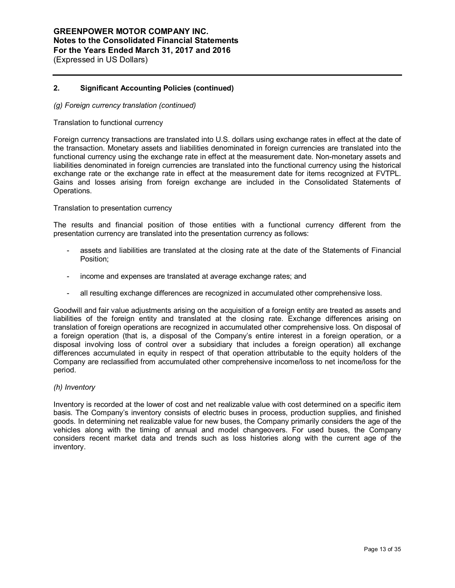(Expressed in US Dollars)

# **2. Significant Accounting Policies (continued)**

### *(g) Foreign currency translation (continued)*

#### Translation to functional currency

Foreign currency transactions are translated into U.S. dollars using exchange rates in effect at the date of the transaction. Monetary assets and liabilities denominated in foreign currencies are translated into the functional currency using the exchange rate in effect at the measurement date. Non-monetary assets and liabilities denominated in foreign currencies are translated into the functional currency using the historical exchange rate or the exchange rate in effect at the measurement date for items recognized at FVTPL. Gains and losses arising from foreign exchange are included in the Consolidated Statements of Operations.

#### Translation to presentation currency

The results and financial position of those entities with a functional currency different from the presentation currency are translated into the presentation currency as follows:

- assets and liabilities are translated at the closing rate at the date of the Statements of Financial Position;
- income and expenses are translated at average exchange rates; and
- all resulting exchange differences are recognized in accumulated other comprehensive loss.

Goodwill and fair value adjustments arising on the acquisition of a foreign entity are treated as assets and liabilities of the foreign entity and translated at the closing rate. Exchange differences arising on translation of foreign operations are recognized in accumulated other comprehensive loss. On disposal of a foreign operation (that is, a disposal of the Company's entire interest in a foreign operation, or a disposal involving loss of control over a subsidiary that includes a foreign operation) all exchange differences accumulated in equity in respect of that operation attributable to the equity holders of the Company are reclassified from accumulated other comprehensive income/loss to net income/loss for the period.

#### *(h) Inventory*

Inventory is recorded at the lower of cost and net realizable value with cost determined on a specific item basis. The Company's inventory consists of electric buses in process, production supplies, and finished goods. In determining net realizable value for new buses, the Company primarily considers the age of the vehicles along with the timing of annual and model changeovers. For used buses, the Company considers recent market data and trends such as loss histories along with the current age of the inventory.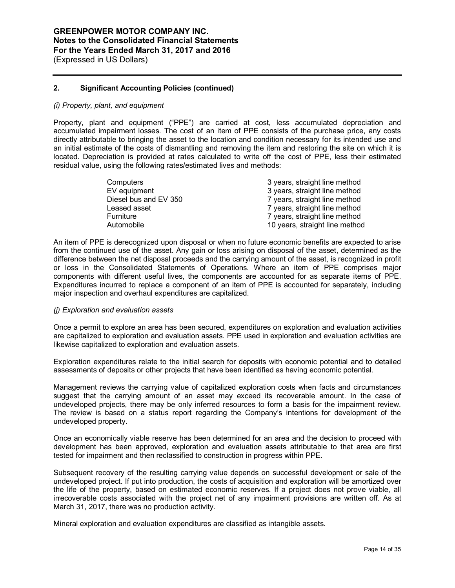(Expressed in US Dollars)

### **2. Significant Accounting Policies (continued)**

#### *(i) Property, plant, and equipment*

Property, plant and equipment ("PPE") are carried at cost, less accumulated depreciation and accumulated impairment losses. The cost of an item of PPE consists of the purchase price, any costs directly attributable to bringing the asset to the location and condition necessary for its intended use and an initial estimate of the costs of dismantling and removing the item and restoring the site on which it is located. Depreciation is provided at rates calculated to write off the cost of PPE, less their estimated residual value, using the following rates/estimated lives and methods:

| Computers             | 3 years, straight line method  |
|-----------------------|--------------------------------|
| EV equipment          | 3 years, straight line method  |
| Diesel bus and EV 350 | 7 years, straight line method  |
| Leased asset          | 7 years, straight line method  |
| Furniture             | 7 years, straight line method  |
| Automobile            | 10 years, straight line method |

An item of PPE is derecognized upon disposal or when no future economic benefits are expected to arise from the continued use of the asset. Any gain or loss arising on disposal of the asset, determined as the difference between the net disposal proceeds and the carrying amount of the asset, is recognized in profit or loss in the Consolidated Statements of Operations. Where an item of PPE comprises major components with different useful lives, the components are accounted for as separate items of PPE. Expenditures incurred to replace a component of an item of PPE is accounted for separately, including major inspection and overhaul expenditures are capitalized.

# *(j) Exploration and evaluation assets*

Once a permit to explore an area has been secured, expenditures on exploration and evaluation activities are capitalized to exploration and evaluation assets. PPE used in exploration and evaluation activities are likewise capitalized to exploration and evaluation assets.

Exploration expenditures relate to the initial search for deposits with economic potential and to detailed assessments of deposits or other projects that have been identified as having economic potential.

Management reviews the carrying value of capitalized exploration costs when facts and circumstances suggest that the carrying amount of an asset may exceed its recoverable amount. In the case of undeveloped projects, there may be only inferred resources to form a basis for the impairment review. The review is based on a status report regarding the Company's intentions for development of the undeveloped property.

Once an economically viable reserve has been determined for an area and the decision to proceed with development has been approved, exploration and evaluation assets attributable to that area are first tested for impairment and then reclassified to construction in progress within PPE.

Subsequent recovery of the resulting carrying value depends on successful development or sale of the undeveloped project. If put into production, the costs of acquisition and exploration will be amortized over the life of the property, based on estimated economic reserves. If a project does not prove viable, all irrecoverable costs associated with the project net of any impairment provisions are written off. As at March 31, 2017, there was no production activity.

Mineral exploration and evaluation expenditures are classified as intangible assets.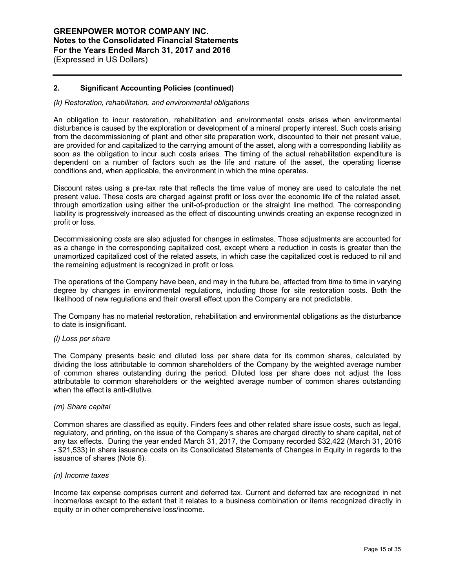(Expressed in US Dollars)

# **2. Significant Accounting Policies (continued)**

#### *(k) Restoration, rehabilitation, and environmental obligations*

An obligation to incur restoration, rehabilitation and environmental costs arises when environmental disturbance is caused by the exploration or development of a mineral property interest. Such costs arising from the decommissioning of plant and other site preparation work, discounted to their net present value, are provided for and capitalized to the carrying amount of the asset, along with a corresponding liability as soon as the obligation to incur such costs arises. The timing of the actual rehabilitation expenditure is dependent on a number of factors such as the life and nature of the asset, the operating license conditions and, when applicable, the environment in which the mine operates.

Discount rates using a pre-tax rate that reflects the time value of money are used to calculate the net present value. These costs are charged against profit or loss over the economic life of the related asset, through amortization using either the unit-of-production or the straight line method. The corresponding liability is progressively increased as the effect of discounting unwinds creating an expense recognized in profit or loss.

Decommissioning costs are also adjusted for changes in estimates. Those adjustments are accounted for as a change in the corresponding capitalized cost, except where a reduction in costs is greater than the unamortized capitalized cost of the related assets, in which case the capitalized cost is reduced to nil and the remaining adjustment is recognized in profit or loss.

The operations of the Company have been, and may in the future be, affected from time to time in varying degree by changes in environmental regulations, including those for site restoration costs. Both the likelihood of new regulations and their overall effect upon the Company are not predictable.

The Company has no material restoration, rehabilitation and environmental obligations as the disturbance to date is insignificant.

#### *(l) Loss per share*

The Company presents basic and diluted loss per share data for its common shares, calculated by dividing the loss attributable to common shareholders of the Company by the weighted average number of common shares outstanding during the period. Diluted loss per share does not adjust the loss attributable to common shareholders or the weighted average number of common shares outstanding when the effect is anti-dilutive.

#### *(m) Share capital*

Common shares are classified as equity. Finders fees and other related share issue costs, such as legal, regulatory, and printing, on the issue of the Company's shares are charged directly to share capital, net of any tax effects. During the year ended March 31, 2017, the Company recorded \$32,422 (March 31, 2016 - \$21,533) in share issuance costs on its Consolidated Statements of Changes in Equity in regards to the issuance of shares (Note 6).

### *(n) Income taxes*

Income tax expense comprises current and deferred tax. Current and deferred tax are recognized in net income/loss except to the extent that it relates to a business combination or items recognized directly in equity or in other comprehensive loss/income.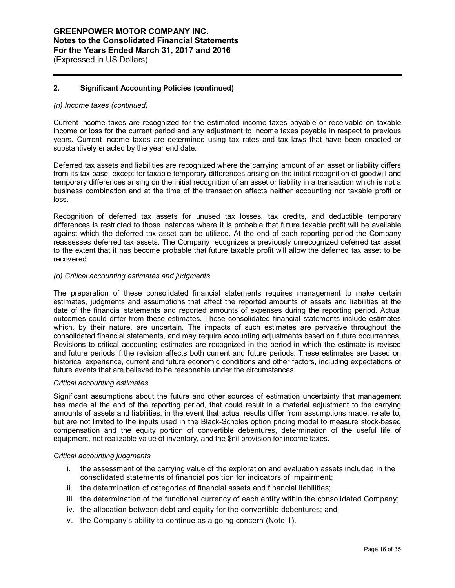(Expressed in US Dollars)

### **2. Significant Accounting Policies (continued)**

#### *(n) Income taxes (continued)*

Current income taxes are recognized for the estimated income taxes payable or receivable on taxable income or loss for the current period and any adjustment to income taxes payable in respect to previous years. Current income taxes are determined using tax rates and tax laws that have been enacted or substantively enacted by the year end date.

Deferred tax assets and liabilities are recognized where the carrying amount of an asset or liability differs from its tax base, except for taxable temporary differences arising on the initial recognition of goodwill and temporary differences arising on the initial recognition of an asset or liability in a transaction which is not a business combination and at the time of the transaction affects neither accounting nor taxable profit or loss.

Recognition of deferred tax assets for unused tax losses, tax credits, and deductible temporary differences is restricted to those instances where it is probable that future taxable profit will be available against which the deferred tax asset can be utilized. At the end of each reporting period the Company reassesses deferred tax assets. The Company recognizes a previously unrecognized deferred tax asset to the extent that it has become probable that future taxable profit will allow the deferred tax asset to be recovered.

#### *(o) Critical accounting estimates and judgments*

The preparation of these consolidated financial statements requires management to make certain estimates, judgments and assumptions that affect the reported amounts of assets and liabilities at the date of the financial statements and reported amounts of expenses during the reporting period. Actual outcomes could differ from these estimates. These consolidated financial statements include estimates which, by their nature, are uncertain. The impacts of such estimates are pervasive throughout the consolidated financial statements, and may require accounting adjustments based on future occurrences. Revisions to critical accounting estimates are recognized in the period in which the estimate is revised and future periods if the revision affects both current and future periods. These estimates are based on historical experience, current and future economic conditions and other factors, including expectations of future events that are believed to be reasonable under the circumstances.

#### *Critical accounting estimates*

Significant assumptions about the future and other sources of estimation uncertainty that management has made at the end of the reporting period, that could result in a material adjustment to the carrying amounts of assets and liabilities, in the event that actual results differ from assumptions made, relate to, but are not limited to the inputs used in the Black-Scholes option pricing model to measure stock-based compensation and the equity portion of convertible debentures, determination of the useful life of equipment, net realizable value of inventory, and the \$nil provision for income taxes.

#### *Critical accounting judgments*

- i. the assessment of the carrying value of the exploration and evaluation assets included in the consolidated statements of financial position for indicators of impairment;
- ii. the determination of categories of financial assets and financial liabilities;
- iii. the determination of the functional currency of each entity within the consolidated Company;
- iv. the allocation between debt and equity for the convertible debentures; and
- v. the Company's ability to continue as a going concern (Note 1).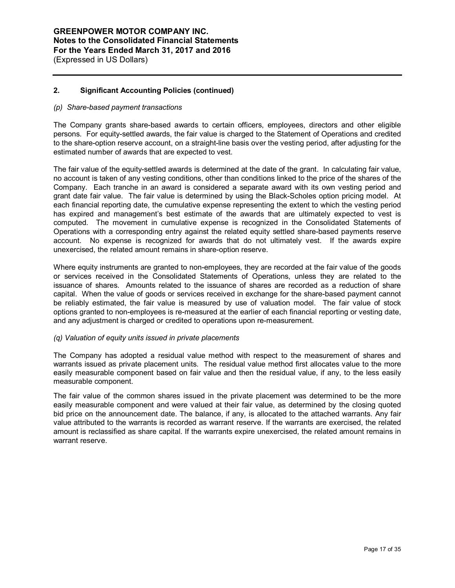(Expressed in US Dollars)

# **2. Significant Accounting Policies (continued)**

#### *(p) Share-based payment transactions*

The Company grants share-based awards to certain officers, employees, directors and other eligible persons. For equity-settled awards, the fair value is charged to the Statement of Operations and credited to the share-option reserve account, on a straight-line basis over the vesting period, after adjusting for the estimated number of awards that are expected to vest.

The fair value of the equity-settled awards is determined at the date of the grant. In calculating fair value, no account is taken of any vesting conditions, other than conditions linked to the price of the shares of the Company. Each tranche in an award is considered a separate award with its own vesting period and grant date fair value. The fair value is determined by using the Black-Scholes option pricing model. At each financial reporting date, the cumulative expense representing the extent to which the vesting period has expired and management's best estimate of the awards that are ultimately expected to vest is computed. The movement in cumulative expense is recognized in the Consolidated Statements of Operations with a corresponding entry against the related equity settled share-based payments reserve account. No expense is recognized for awards that do not ultimately vest. If the awards expire unexercised, the related amount remains in share-option reserve.

Where equity instruments are granted to non-employees, they are recorded at the fair value of the goods or services received in the Consolidated Statements of Operations, unless they are related to the issuance of shares. Amounts related to the issuance of shares are recorded as a reduction of share capital. When the value of goods or services received in exchange for the share-based payment cannot be reliably estimated, the fair value is measured by use of valuation model. The fair value of stock options granted to non-employees is re-measured at the earlier of each financial reporting or vesting date, and any adjustment is charged or credited to operations upon re-measurement.

### *(q) Valuation of equity units issued in private placements*

The Company has adopted a residual value method with respect to the measurement of shares and warrants issued as private placement units. The residual value method first allocates value to the more easily measurable component based on fair value and then the residual value, if any, to the less easily measurable component.

The fair value of the common shares issued in the private placement was determined to be the more easily measurable component and were valued at their fair value, as determined by the closing quoted bid price on the announcement date. The balance, if any, is allocated to the attached warrants. Any fair value attributed to the warrants is recorded as warrant reserve. If the warrants are exercised, the related amount is reclassified as share capital. If the warrants expire unexercised, the related amount remains in warrant reserve.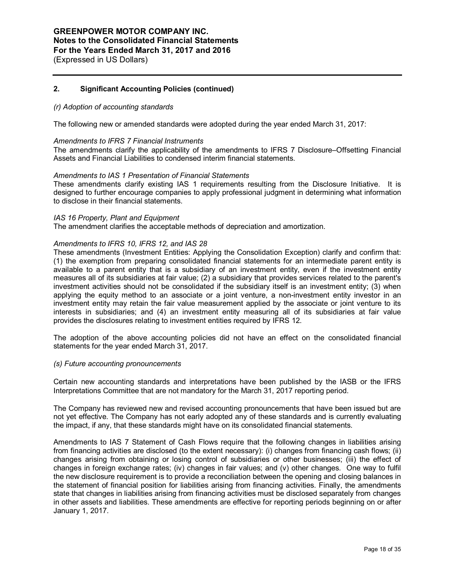(Expressed in US Dollars)

### **2. Significant Accounting Policies (continued)**

#### *(r) Adoption of accounting standards*

The following new or amended standards were adopted during the year ended March 31, 2017:

#### *Amendments to IFRS 7 Financial Instruments*

The amendments clarify the applicability of the amendments to IFRS 7 Disclosure–Offsetting Financial Assets and Financial Liabilities to condensed interim financial statements.

### *Amendments to IAS 1 Presentation of Financial Statements*

These amendments clarify existing IAS 1 requirements resulting from the Disclosure Initiative. It is designed to further encourage companies to apply professional judgment in determining what information to disclose in their financial statements.

#### *IAS 16 Property, Plant and Equipment*

The amendment clarifies the acceptable methods of depreciation and amortization.

#### *Amendments to IFRS 10, IFRS 12, and IAS 28*

These amendments (Investment Entities: Applying the Consolidation Exception) clarify and confirm that: (1) the exemption from preparing consolidated financial statements for an intermediate parent entity is available to a parent entity that is a subsidiary of an investment entity, even if the investment entity measures all of its subsidiaries at fair value; (2) a subsidiary that provides services related to the parent's investment activities should not be consolidated if the subsidiary itself is an investment entity; (3) when applying the equity method to an associate or a joint venture, a non-investment entity investor in an investment entity may retain the fair value measurement applied by the associate or joint venture to its interests in subsidiaries; and (4) an investment entity measuring all of its subsidiaries at fair value provides the disclosures relating to investment entities required by IFRS 12.

The adoption of the above accounting policies did not have an effect on the consolidated financial statements for the year ended March 31, 2017.

#### *(s) Future accounting pronouncements*

Certain new accounting standards and interpretations have been published by the IASB or the IFRS Interpretations Committee that are not mandatory for the March 31, 2017 reporting period.

The Company has reviewed new and revised accounting pronouncements that have been issued but are not yet effective. The Company has not early adopted any of these standards and is currently evaluating the impact, if any, that these standards might have on its consolidated financial statements.

Amendments to IAS 7 Statement of Cash Flows require that the following changes in liabilities arising from financing activities are disclosed (to the extent necessary): (i) changes from financing cash flows; (ii) changes arising from obtaining or losing control of subsidiaries or other businesses; (iii) the effect of changes in foreign exchange rates; (iv) changes in fair values; and (v) other changes. One way to fulfil the new disclosure requirement is to provide a reconciliation between the opening and closing balances in the statement of financial position for liabilities arising from financing activities. Finally, the amendments state that changes in liabilities arising from financing activities must be disclosed separately from changes in other assets and liabilities. These amendments are effective for reporting periods beginning on or after January 1, 2017.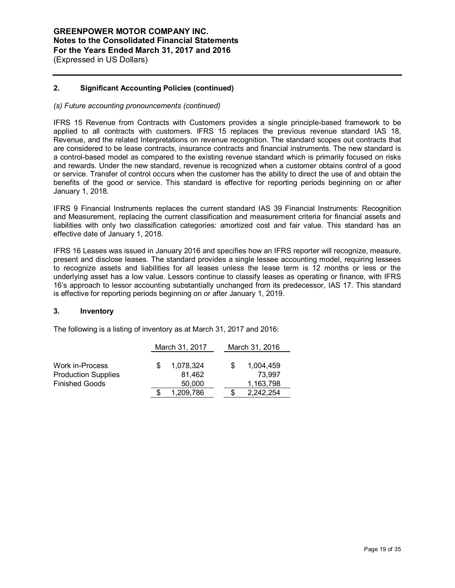(Expressed in US Dollars)

# **2. Significant Accounting Policies (continued)**

#### *(s) Future accounting pronouncements (continued)*

IFRS 15 Revenue from Contracts with Customers provides a single principle-based framework to be applied to all contracts with customers. IFRS 15 replaces the previous revenue standard IAS 18, Revenue, and the related Interpretations on revenue recognition. The standard scopes out contracts that are considered to be lease contracts, insurance contracts and financial instruments. The new standard is a control-based model as compared to the existing revenue standard which is primarily focused on risks and rewards. Under the new standard, revenue is recognized when a customer obtains control of a good or service. Transfer of control occurs when the customer has the ability to direct the use of and obtain the benefits of the good or service. This standard is effective for reporting periods beginning on or after January 1, 2018.

IFRS 9 Financial Instruments replaces the current standard IAS 39 Financial Instruments: Recognition and Measurement, replacing the current classification and measurement criteria for financial assets and liabilities with only two classification categories: amortized cost and fair value. This standard has an effective date of January 1, 2018.

IFRS 16 Leases was issued in January 2016 and specifies how an IFRS reporter will recognize, measure, present and disclose leases. The standard provides a single lessee accounting model, requiring lessees to recognize assets and liabilities for all leases unless the lease term is 12 months or less or the underlying asset has a low value. Lessors continue to classify leases as operating or finance, with IFRS 16's approach to lessor accounting substantially unchanged from its predecessor, IAS 17. This standard is effective for reporting periods beginning on or after January 1, 2019.

### **3. Inventory**

The following is a listing of inventory as at March 31, 2017 and 2016:

|                            | March 31, 2017 | March 31, 2016 |
|----------------------------|----------------|----------------|
| Work in-Process            | 1.078.324      | 1.004.459      |
| <b>Production Supplies</b> | 81,462         | 73.997         |
| <b>Finished Goods</b>      | 50,000         | 1,163,798      |
|                            | 1,209,786      | 2,242,254      |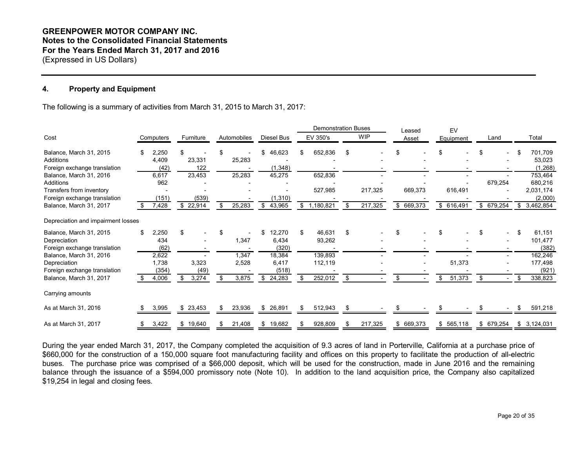# **GREENPOWER MOTOR COMPANY INC. Notes to the Consolidated Financial Statements For the Years Ended March 31, 2017 and 2016** (Expressed in US Dollars)

# **4. Property and Equipment**

The following is a summary of activities from March 31, 2015 to March 31, 2017:

|                                                                         |     |                      |               |             |                                |     | <b>Demonstration Buses</b> |            | Leased        | EV            |            |    |                            |
|-------------------------------------------------------------------------|-----|----------------------|---------------|-------------|--------------------------------|-----|----------------------------|------------|---------------|---------------|------------|----|----------------------------|
| Cost                                                                    |     | Computers            | Furniture     | Automobiles | Diesel Bus                     |     | EV 350's                   | <b>WIP</b> | Asset         | Equipment     | Land       |    | Total                      |
| Balance, March 31, 2015<br>Additions                                    |     | 2,250<br>4,409       | £.<br>23,331  | 25,283      | \$<br>46,623                   | \$. | 652,836                    | \$         | \$            |               | \$         | S  | 701,709<br>53,023          |
| Foreign exchange translation                                            |     | (42)                 | 122           |             | (1, 348)                       |     |                            |            |               |               |            |    | (1, 268)                   |
| Balance, March 31, 2016<br>Additions                                    |     | 6,617<br>962         | 23,453        | 25,283      | 45,275                         |     | 652,836                    |            |               |               | 679,254    |    | 753,464<br>680,216         |
| Transfers from inventory                                                |     |                      |               |             |                                |     | 527,985                    | 217,325    | 669,373       | 616,491       |            |    | 2,031,174                  |
| Foreign exchange translation                                            |     | (151)                | (539)         |             | (1, 310)                       |     |                            |            |               |               |            |    | (2,000)                    |
| Balance, March 31, 2017                                                 |     | 7,428                | \$22,914      | 25,283      | \$<br>43,965                   | \$  | ,180,821                   | 217,325    | \$<br>669,373 | \$ 616,491    | \$ 679,254 |    | \$3,462,854                |
| Depreciation and impairment losses                                      |     |                      |               |             |                                |     |                            |            |               |               |            |    |                            |
| Balance, March 31, 2015<br>Depreciation<br>Foreign exchange translation | \$. | 2,250<br>434<br>(62) | \$            | 1,347       | \$<br>12,270<br>6,434<br>(320) | \$  | 46,631<br>93,262           | \$         |               |               | \$         |    | 61,151<br>101,477<br>(382) |
| Balance, March 31, 2016                                                 |     | 2,622                |               | 1,347       | 18,384                         |     | 139,893                    |            |               |               |            |    | 162,246                    |
| Depreciation<br>Foreign exchange translation                            |     | 1,738<br>(354)       | 3,323<br>(49) | 2,528       | 6,417<br>(518)                 |     | 112,119                    |            |               | 51,373        |            |    | 177,498<br>(921)           |
| Balance, March 31, 2017                                                 | \$  | 4,006                | 3,274<br>\$   | 3,875       | \$<br>24,283                   |     | 252,012                    | \$         | \$            | \$<br>51,373  | \$         | \$ | 338,823                    |
| Carrying amounts                                                        |     |                      |               |             |                                |     |                            |            |               |               |            |    |                            |
| As at March 31, 2016                                                    |     | 3,995                | 23,453<br>\$  | 23,936      | \$<br>26,891                   |     | 512,943                    |            |               |               |            |    | 591,218                    |
| As at March 31, 2017                                                    |     | 3,422                | 19,640<br>\$  | 21,408      | \$<br>19,682                   |     | 928,809                    | 217,325    | \$<br>669,373 | \$<br>565,118 | \$ 679,254 |    | \$3,124,031                |

During the year ended March 31, 2017, the Company completed the acquisition of 9.3 acres of land in Porterville, California at a purchase price of \$660,000 for the construction of a 150,000 square foot manufacturing facility and offices on this property to facilitate the production of all-electric buses. The purchase price was comprised of a \$66,000 deposit, which will be used for the construction, made in June 2016 and the remaining balance through the issuance of a \$594,000 promissory note (Note 10). In addition to the land acquisition price, the Company also capitalized \$19,254 in legal and closing fees.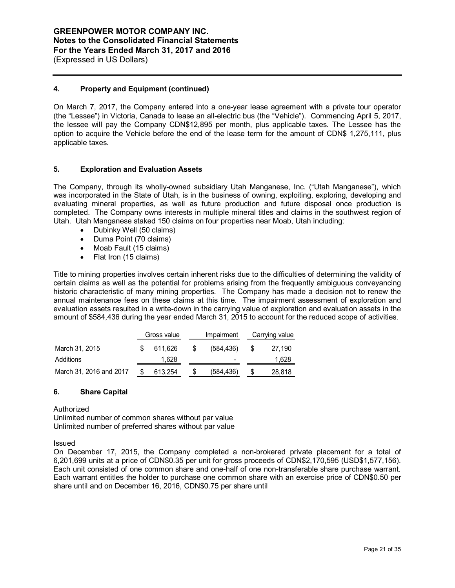(Expressed in US Dollars)

# **4. Property and Equipment (continued)**

On March 7, 2017, the Company entered into a one-year lease agreement with a private tour operator (the "Lessee") in Victoria, Canada to lease an all-electric bus (the "Vehicle"). Commencing April 5, 2017, the lessee will pay the Company CDN\$12,895 per month, plus applicable taxes. The Lessee has the option to acquire the Vehicle before the end of the lease term for the amount of CDN\$ 1,275,111, plus applicable taxes.

### **5. Exploration and Evaluation Assets**

The Company, through its wholly-owned subsidiary Utah Manganese, Inc. ("Utah Manganese"), which was incorporated in the State of Utah, is in the business of owning, exploiting, exploring, developing and evaluating mineral properties, as well as future production and future disposal once production is completed. The Company owns interests in multiple mineral titles and claims in the southwest region of Utah. Utah Manganese staked 150 claims on four properties near Moab, Utah including:

- · Dubinky Well (50 claims)
- · Duma Point (70 claims)
- Moab Fault (15 claims)
- Flat Iron (15 claims)

Title to mining properties involves certain inherent risks due to the difficulties of determining the validity of certain claims as well as the potential for problems arising from the frequently ambiguous conveyancing historic characteristic of many mining properties. The Company has made a decision not to renew the annual maintenance fees on these claims at this time. The impairment assessment of exploration and evaluation assets resulted in a write-down in the carrying value of exploration and evaluation assets in the amount of \$584,436 during the year ended March 31, 2015 to account for the reduced scope of activities.

|                         | Gross value |   | Impairment | Carrying value |
|-------------------------|-------------|---|------------|----------------|
| March 31, 2015          | 611.626     | S | (584.436)  | 27.190         |
| Additions               | 1.628       |   |            | 1,628          |
| March 31, 2016 and 2017 | 613,254     |   | (584,436)  | 28,818         |

### **6. Share Capital**

#### Authorized

Unlimited number of common shares without par value Unlimited number of preferred shares without par value

#### Issued

On December 17, 2015, the Company completed a non-brokered private placement for a total of 6,201,699 units at a price of CDN\$0.35 per unit for gross proceeds of CDN\$2,170,595 (USD\$1,577,156). Each unit consisted of one common share and one-half of one non-transferable share purchase warrant. Each warrant entitles the holder to purchase one common share with an exercise price of CDN\$0.50 per share until and on December 16, 2016, CDN\$0.75 per share until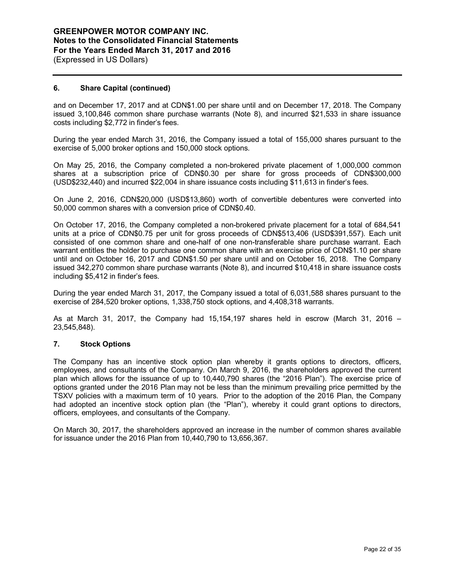(Expressed in US Dollars)

### **6. Share Capital (continued)**

and on December 17, 2017 and at CDN\$1.00 per share until and on December 17, 2018. The Company issued 3,100,846 common share purchase warrants (Note 8), and incurred \$21,533 in share issuance costs including \$2,772 in finder's fees.

During the year ended March 31, 2016, the Company issued a total of 155,000 shares pursuant to the exercise of 5,000 broker options and 150,000 stock options.

On May 25, 2016, the Company completed a non-brokered private placement of 1,000,000 common shares at a subscription price of CDN\$0.30 per share for gross proceeds of CDN\$300,000 (USD\$232,440) and incurred \$22,004 in share issuance costs including \$11,613 in finder's fees.

On June 2, 2016, CDN\$20,000 (USD\$13,860) worth of convertible debentures were converted into 50,000 common shares with a conversion price of CDN\$0.40.

On October 17, 2016, the Company completed a non-brokered private placement for a total of 684,541 units at a price of CDN\$0.75 per unit for gross proceeds of CDN\$513,406 (USD\$391,557). Each unit consisted of one common share and one-half of one non-transferable share purchase warrant. Each warrant entitles the holder to purchase one common share with an exercise price of CDN\$1.10 per share until and on October 16, 2017 and CDN\$1.50 per share until and on October 16, 2018. The Company issued 342,270 common share purchase warrants (Note 8), and incurred \$10,418 in share issuance costs including \$5,412 in finder's fees.

During the year ended March 31, 2017, the Company issued a total of 6,031,588 shares pursuant to the exercise of 284,520 broker options, 1,338,750 stock options, and 4,408,318 warrants.

As at March 31, 2017, the Company had 15,154,197 shares held in escrow (March 31, 2016 – 23,545,848).

# **7. Stock Options**

The Company has an incentive stock option plan whereby it grants options to directors, officers, employees, and consultants of the Company. On March 9, 2016, the shareholders approved the current plan which allows for the issuance of up to 10,440,790 shares (the "2016 Plan"). The exercise price of options granted under the 2016 Plan may not be less than the minimum prevailing price permitted by the TSXV policies with a maximum term of 10 years. Prior to the adoption of the 2016 Plan, the Company had adopted an incentive stock option plan (the "Plan"), whereby it could grant options to directors, officers, employees, and consultants of the Company.

On March 30, 2017, the shareholders approved an increase in the number of common shares available for issuance under the 2016 Plan from 10,440,790 to 13,656,367.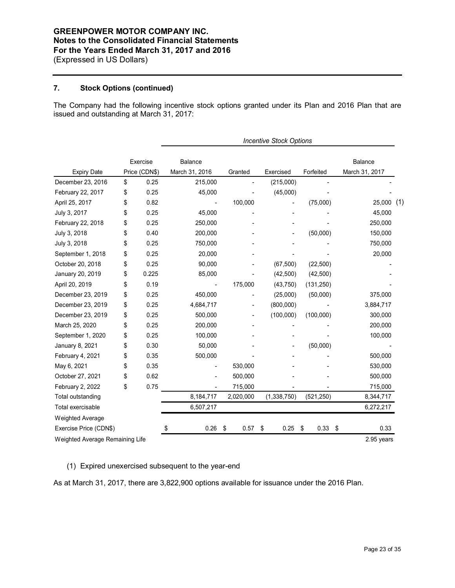(Expressed in US Dollars)

# **7. Stock Options (continued)**

The Company had the following incentive stock options granted under its Plan and 2016 Plan that are issued and outstanding at March 31, 2017:

|                                 |                           | <b>Incentive Stock Options</b> |                |             |                 |                                  |  |  |  |
|---------------------------------|---------------------------|--------------------------------|----------------|-------------|-----------------|----------------------------------|--|--|--|
| <b>Expiry Date</b>              | Exercise<br>Price (CDN\$) | Balance<br>March 31, 2016      | Granted        | Exercised   | Forfeited       | <b>Balance</b><br>March 31, 2017 |  |  |  |
| December 23, 2016               | \$<br>0.25                | 215,000                        |                | (215,000)   |                 |                                  |  |  |  |
| February 22, 2017               | \$<br>0.25                | 45,000                         |                | (45,000)    |                 |                                  |  |  |  |
| April 25, 2017                  | \$<br>0.82                |                                | 100,000        |             | (75,000)        | (1)<br>25,000                    |  |  |  |
| July 3, 2017                    | \$<br>0.25                | 45,000                         |                |             |                 | 45,000                           |  |  |  |
| February 22, 2018               | \$<br>0.25                | 250,000                        |                |             |                 | 250,000                          |  |  |  |
| July 3, 2018                    | \$<br>0.40                | 200,000                        |                |             | (50,000)        | 150,000                          |  |  |  |
| July 3, 2018                    | \$<br>0.25                | 750,000                        |                |             |                 | 750,000                          |  |  |  |
| September 1, 2018               | \$<br>0.25                | 20,000                         |                |             |                 | 20,000                           |  |  |  |
| October 20, 2018                | \$<br>0.25                | 90,000                         |                | (67, 500)   | (22,500)        |                                  |  |  |  |
| January 20, 2019                | \$<br>0.225               | 85,000                         |                | (42,500)    | (42,500)        |                                  |  |  |  |
| April 20, 2019                  | \$<br>0.19                |                                | 175,000        | (43,750)    | (131, 250)      |                                  |  |  |  |
| December 23, 2019               | \$<br>0.25                | 450,000                        |                | (25,000)    | (50,000)        | 375,000                          |  |  |  |
| December 23, 2019               | \$<br>0.25                | 4,684,717                      |                | (800,000)   |                 | 3,884,717                        |  |  |  |
| December 23, 2019               | \$<br>0.25                | 500,000                        | $\overline{a}$ | (100, 000)  | (100,000)       | 300,000                          |  |  |  |
| March 25, 2020                  | \$<br>0.25                | 200,000                        |                |             |                 | 200,000                          |  |  |  |
| September 1, 2020               | \$<br>0.25                | 100,000                        |                |             |                 | 100,000                          |  |  |  |
| January 8, 2021                 | \$<br>0.30                | 50,000                         |                |             | (50,000)        |                                  |  |  |  |
| February 4, 2021                | \$<br>0.35                | 500,000                        |                |             |                 | 500,000                          |  |  |  |
| May 6, 2021                     | \$<br>0.35                |                                | 530,000        |             |                 | 530,000                          |  |  |  |
| October 27, 2021                | \$<br>0.62                |                                | 500,000        |             |                 | 500,000                          |  |  |  |
| February 2, 2022                | \$<br>0.75                |                                | 715,000        |             |                 | 715,000                          |  |  |  |
| Total outstanding               |                           | 8,184,717                      | 2,020,000      | (1,338,750) | (521, 250)      | 8,344,717                        |  |  |  |
| Total exercisable               |                           | 6,507,217                      |                |             |                 | 6,272,217                        |  |  |  |
| Weighted Average                |                           |                                |                |             |                 |                                  |  |  |  |
| Exercise Price (CDN\$)          |                           | 0.26<br>\$                     | \$<br>0.57     | 0.25<br>\$  | \$<br>$0.33$ \$ | 0.33                             |  |  |  |
| Weighted Average Remaining Life |                           |                                |                |             |                 | 2.95 years                       |  |  |  |

(1) Expired unexercised subsequent to the year-end

As at March 31, 2017, there are 3,822,900 options available for issuance under the 2016 Plan.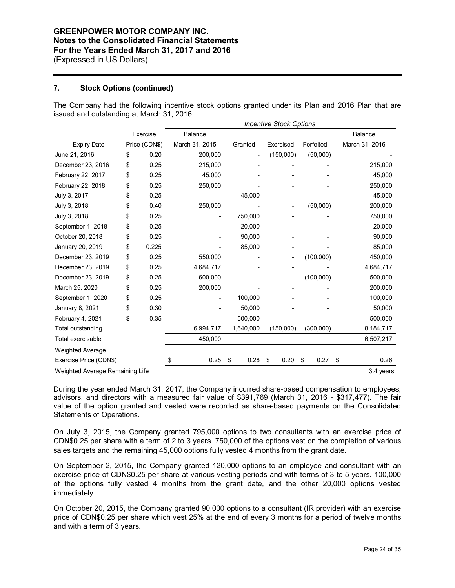(Expressed in US Dollars)

# **7. Stock Options (continued)**

The Company had the following incentive stock options granted under its Plan and 2016 Plan that are issued and outstanding at March 31, 2016:

|                                 |               |                |                          | <b>Incentive Stock Options</b> |            |                |
|---------------------------------|---------------|----------------|--------------------------|--------------------------------|------------|----------------|
|                                 | Exercise      | Balance        |                          |                                |            | <b>Balance</b> |
| <b>Expiry Date</b>              | Price (CDN\$) | March 31, 2015 | Granted                  | Exercised                      | Forfeited  | March 31, 2016 |
| June 21, 2016                   | \$<br>0.20    | 200,000        | $\overline{\phantom{0}}$ | (150,000)                      | (50,000)   |                |
| December 23, 2016               | \$<br>0.25    | 215,000        |                          |                                |            | 215,000        |
| February 22, 2017               | \$<br>0.25    | 45,000         |                          |                                |            | 45,000         |
| February 22, 2018               | \$<br>0.25    | 250,000        |                          |                                |            | 250,000        |
| July 3, 2017                    | \$<br>0.25    |                | 45,000                   |                                |            | 45,000         |
| July 3, 2018                    | \$<br>0.40    | 250,000        |                          | $\qquad \qquad \blacksquare$   | (50,000)   | 200,000        |
| July 3, 2018                    | \$<br>0.25    |                | 750,000                  |                                |            | 750,000        |
| September 1, 2018               | \$<br>0.25    |                | 20,000                   |                                |            | 20,000         |
| October 20, 2018                | \$<br>0.25    |                | 90,000                   |                                |            | 90,000         |
| January 20, 2019                | \$<br>0.225   |                | 85,000                   |                                |            | 85,000         |
| December 23, 2019               | \$<br>0.25    | 550,000        |                          | $\qquad \qquad \blacksquare$   | (100,000)  | 450,000        |
| December 23, 2019               | \$<br>0.25    | 4,684,717      |                          |                                |            | 4,684,717      |
| December 23, 2019               | \$<br>0.25    | 600,000        |                          | $\qquad \qquad \blacksquare$   | (100,000)  | 500,000        |
| March 25, 2020                  | \$<br>0.25    | 200,000        |                          |                                |            | 200,000        |
| September 1, 2020               | \$<br>0.25    |                | 100,000                  |                                |            | 100,000        |
| January 8, 2021                 | \$<br>0.30    |                | 50,000                   |                                |            | 50,000         |
| February 4, 2021                | \$<br>0.35    |                | 500,000                  |                                |            | 500,000        |
| Total outstanding               |               | 6,994,717      | 1,640,000                | (150,000)                      | (300,000)  | 8,184,717      |
| Total exercisable               |               | 450,000        |                          |                                |            | 6,507,217      |
| <b>Weighted Average</b>         |               |                |                          |                                |            |                |
| Exercise Price (CDN\$)          |               | 0.25<br>S      | 0.28<br>\$               | 0.20<br>\$                     | 0.27<br>\$ | \$<br>0.26     |
| Weighted Average Remaining Life |               |                |                          |                                |            | 3.4 years      |

During the year ended March 31, 2017, the Company incurred share-based compensation to employees, advisors, and directors with a measured fair value of \$391,769 (March 31, 2016 - \$317,477). The fair value of the option granted and vested were recorded as share-based payments on the Consolidated Statements of Operations.

On July 3, 2015, the Company granted 795,000 options to two consultants with an exercise price of CDN\$0.25 per share with a term of 2 to 3 years. 750,000 of the options vest on the completion of various sales targets and the remaining 45,000 options fully vested 4 months from the grant date.

On September 2, 2015, the Company granted 120,000 options to an employee and consultant with an exercise price of CDN\$0.25 per share at various vesting periods and with terms of 3 to 5 years. 100,000 of the options fully vested 4 months from the grant date, and the other 20,000 options vested immediately.

On October 20, 2015, the Company granted 90,000 options to a consultant (IR provider) with an exercise price of CDN\$0.25 per share which vest 25% at the end of every 3 months for a period of twelve months and with a term of 3 years.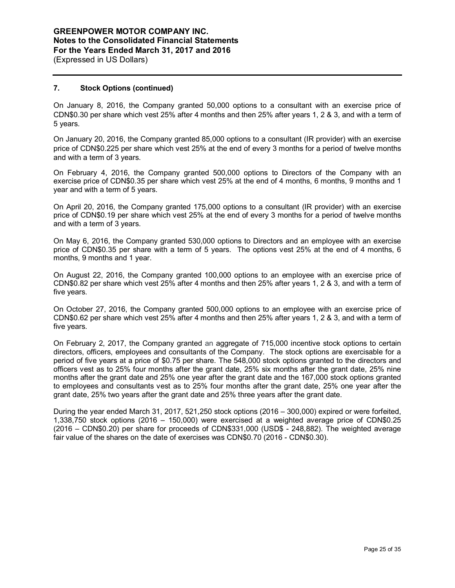(Expressed in US Dollars)

### **7. Stock Options (continued)**

On January 8, 2016, the Company granted 50,000 options to a consultant with an exercise price of CDN\$0.30 per share which vest 25% after 4 months and then 25% after years 1, 2 & 3, and with a term of 5 years.

On January 20, 2016, the Company granted 85,000 options to a consultant (IR provider) with an exercise price of CDN\$0.225 per share which vest 25% at the end of every 3 months for a period of twelve months and with a term of 3 years.

On February 4, 2016, the Company granted 500,000 options to Directors of the Company with an exercise price of CDN\$0.35 per share which vest 25% at the end of 4 months, 6 months, 9 months and 1 year and with a term of 5 years.

On April 20, 2016, the Company granted 175,000 options to a consultant (IR provider) with an exercise price of CDN\$0.19 per share which vest 25% at the end of every 3 months for a period of twelve months and with a term of 3 years.

On May 6, 2016, the Company granted 530,000 options to Directors and an employee with an exercise price of CDN\$0.35 per share with a term of 5 years. The options vest 25% at the end of 4 months, 6 months, 9 months and 1 year.

On August 22, 2016, the Company granted 100,000 options to an employee with an exercise price of CDN\$0.82 per share which vest 25% after 4 months and then 25% after years 1, 2 & 3, and with a term of five years.

On October 27, 2016, the Company granted 500,000 options to an employee with an exercise price of CDN\$0.62 per share which vest 25% after 4 months and then 25% after years 1, 2 & 3, and with a term of five years.

On February 2, 2017, the Company granted an aggregate of 715,000 incentive stock options to certain directors, officers, employees and consultants of the Company. The stock options are exercisable for a period of five years at a price of \$0.75 per share. The 548,000 stock options granted to the directors and officers vest as to 25% four months after the grant date, 25% six months after the grant date, 25% nine months after the grant date and 25% one year after the grant date and the 167,000 stock options granted to employees and consultants vest as to 25% four months after the grant date, 25% one year after the grant date, 25% two years after the grant date and 25% three years after the grant date.

During the year ended March 31, 2017, 521,250 stock options (2016 – 300,000) expired or were forfeited, 1,338,750 stock options (2016 – 150,000) were exercised at a weighted average price of CDN\$0.25 (2016 – CDN\$0.20) per share for proceeds of CDN\$331,000 (USD\$ - 248,882). The weighted average fair value of the shares on the date of exercises was CDN\$0.70 (2016 - CDN\$0.30).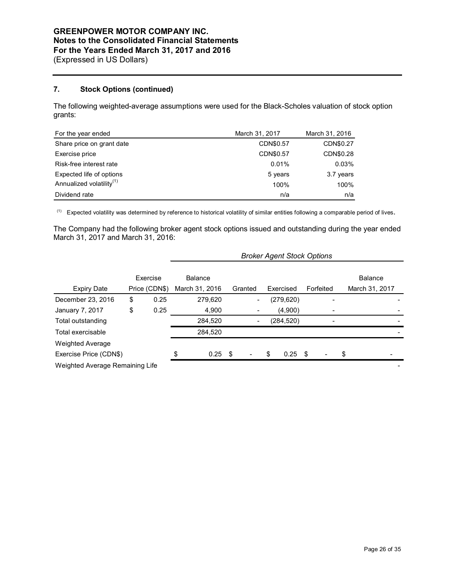# **7. Stock Options (continued)**

The following weighted-average assumptions were used for the Black-Scholes valuation of stock option grants:

| For the year ended                   | March 31, 2017 | March 31, 2016 |
|--------------------------------------|----------------|----------------|
| Share price on grant date            | CDN\$0.57      | CDN\$0.27      |
| Exercise price                       | CDN\$0.57      | CDN\$0.28      |
| Risk-free interest rate              | 0.01%          | 0.03%          |
| Expected life of options             | 5 years        | 3.7 years      |
| Annualized volatility <sup>(1)</sup> | 100%           | 100%           |
| Dividend rate                        | n/a            | n/a            |

(1) Expected volatility was determined by reference to historical volatility of similar entities following a comparable period of lives**.**

The Company had the following broker agent stock options issued and outstanding during the year ended March 31, 2017 and March 31, 2016:

|                                 |                           | <b>Broker Agent Stock Options</b> |         |     |         |    |            |     |           |    |                                  |  |
|---------------------------------|---------------------------|-----------------------------------|---------|-----|---------|----|------------|-----|-----------|----|----------------------------------|--|
| <b>Expiry Date</b>              | Exercise<br>Price (CDN\$) | <b>Balance</b><br>March 31, 2016  |         |     | Granted |    | Exercised  |     | Forfeited |    | <b>Balance</b><br>March 31, 2017 |  |
|                                 |                           |                                   |         |     |         |    |            |     |           |    |                                  |  |
| December 23, 2016               | \$<br>0.25                |                                   | 279,620 |     |         |    | (279, 620) |     |           |    |                                  |  |
| January 7, 2017                 | \$<br>0.25                |                                   | 4,900   |     |         |    | (4,900)    |     |           |    |                                  |  |
| Total outstanding               |                           |                                   | 284,520 |     |         |    | (284,520)  |     |           |    |                                  |  |
| Total exercisable               |                           |                                   | 284,520 |     |         |    |            |     |           |    |                                  |  |
| <b>Weighted Average</b>         |                           |                                   |         |     |         |    |            |     |           |    |                                  |  |
| Exercise Price (CDN\$)          |                           | \$                                | 0.25    | -\$ |         | \$ | 0.25       | -\$ |           | \$ |                                  |  |
| Weighted Average Remaining Life |                           |                                   |         |     |         |    |            |     |           |    |                                  |  |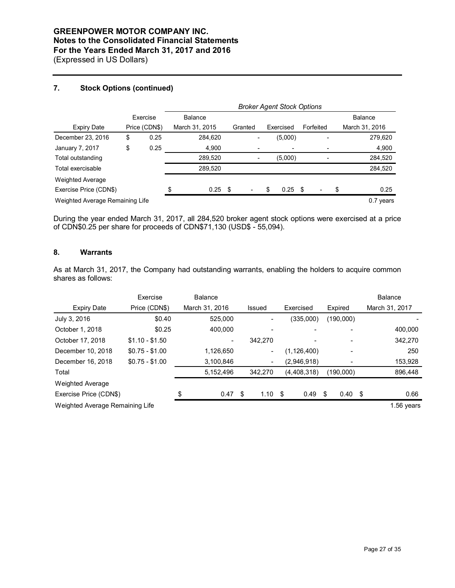# **7. Stock Options (continued)**

|                                 |               | <b>Broker Agent Stock Options</b> |                |     |         |    |           |           |  |                |           |
|---------------------------------|---------------|-----------------------------------|----------------|-----|---------|----|-----------|-----------|--|----------------|-----------|
|                                 | Exercise      |                                   | Balance        |     |         |    |           |           |  | Balance        |           |
| <b>Expiry Date</b>              | Price (CDN\$) |                                   | March 31, 2015 |     | Granted |    | Exercised | Forfeited |  | March 31, 2016 |           |
| December 23, 2016               | \$<br>0.25    |                                   | 284,620        |     |         |    | (5,000)   |           |  |                | 279,620   |
| January 7, 2017                 | \$<br>0.25    |                                   | 4,900          |     |         |    |           |           |  |                | 4,900     |
| Total outstanding               |               |                                   | 289,520        |     |         |    | (5,000)   |           |  |                | 284,520   |
| Total exercisable               |               |                                   | 289,520        |     |         |    |           |           |  |                | 284,520   |
| Weighted Average                |               |                                   |                |     |         |    |           |           |  |                |           |
| Exercise Price (CDN\$)          |               | \$                                | 0.25           | -\$ |         | \$ | $0.25$ \$ |           |  | \$             | 0.25      |
| Weighted Average Remaining Life |               |                                   |                |     |         |    |           |           |  |                | 0.7 years |

During the year ended March 31, 2017, all 284,520 broker agent stock options were exercised at a price of CDN\$0.25 per share for proceeds of CDN\$71,130 (USD\$ - 55,094).

### **8. Warrants**

As at March 31, 2017, the Company had outstanding warrants, enabling the holders to acquire common shares as follows:

|                                 | Exercise        | <b>Balance</b> |                              |             |            |     | <b>Balance</b> |
|---------------------------------|-----------------|----------------|------------------------------|-------------|------------|-----|----------------|
| <b>Expiry Date</b>              | Price (CDN\$)   | March 31, 2016 | Issued                       | Exercised   | Expired    |     | March 31, 2017 |
| July 3, 2016                    | \$0.40          | 525,000        | $\overline{\phantom{a}}$     | (335,000)   | (190,000)  |     |                |
| October 1, 2018                 | \$0.25          | 400,000        | $\qquad \qquad \blacksquare$ |             |            |     | 400,000        |
| October 17, 2018                | $$1.10 - $1.50$ | -              | 342.270                      |             |            |     | 342,270        |
| December 10, 2018               | $$0.75 - $1.00$ | 1,126,650      | $\overline{\phantom{a}}$     | (1,126,400) |            |     | 250            |
| December 16, 2018               | $$0.75 - $1.00$ | 3,100,846      | $\overline{\phantom{a}}$     | (2,946,918) |            |     | 153,928        |
| Total                           |                 | 5,152,496      | 342,270                      | (4,408,318) | (190,000)  |     | 896,448        |
| <b>Weighted Average</b>         |                 |                |                              |             |            |     |                |
| Exercise Price (CDN\$)          |                 | 0.47           | \$<br>1.10                   | 0.49<br>-\$ | \$<br>0.40 | -\$ | 0.66           |
| Weighted Average Remaining Life |                 |                |                              |             |            |     | $1.56$ years   |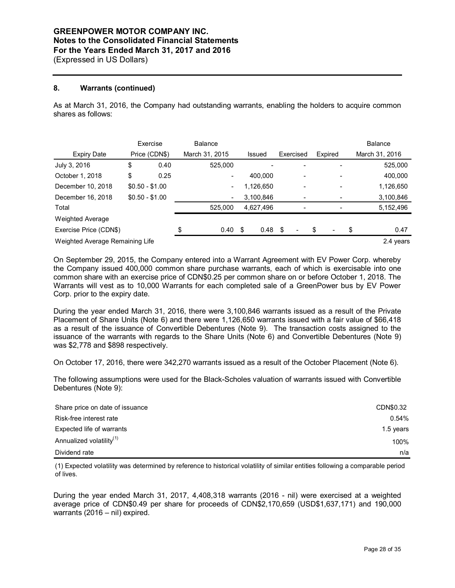(Expressed in US Dollars)

### **8. Warrants (continued)**

As at March 31, 2016, the Company had outstanding warrants, enabling the holders to acquire common shares as follows:

|                                 | Exercise        | <b>Balance</b> |                          |               |           |         | Balance        |  |
|---------------------------------|-----------------|----------------|--------------------------|---------------|-----------|---------|----------------|--|
| <b>Expiry Date</b>              | Price (CDN\$)   | March 31, 2015 |                          | <b>Issued</b> | Exercised | Expired | March 31, 2016 |  |
| July 3, 2016                    | \$<br>0.40      |                | 525.000                  |               |           |         | 525,000        |  |
| October 1, 2018                 | \$<br>0.25      |                | $\overline{\phantom{a}}$ | 400,000       | ٠         |         | 400,000        |  |
| December 10, 2018               | $$0.50 - $1.00$ |                | ٠                        | 1,126,650     | ٠         |         | 1,126,650      |  |
| December 16, 2018               | $$0.50 - $1.00$ |                | $\overline{\phantom{a}}$ | 3,100,846     |           |         | 3,100,846      |  |
| Total                           |                 |                | 525,000                  | 4,627,496     |           |         | 5,152,496      |  |
| Weighted Average                |                 |                |                          |               |           |         |                |  |
| Exercise Price (CDN\$)          |                 | \$             | 0.40                     | \$<br>0.48    | \$        | \$      | \$<br>0.47     |  |
| Weighted Average Remaining Life |                 |                |                          |               |           |         | 2.4 years      |  |

On September 29, 2015, the Company entered into a Warrant Agreement with EV Power Corp. whereby the Company issued 400,000 common share purchase warrants, each of which is exercisable into one common share with an exercise price of CDN\$0.25 per common share on or before October 1, 2018. The Warrants will vest as to 10,000 Warrants for each completed sale of a GreenPower bus by EV Power Corp. prior to the expiry date.

During the year ended March 31, 2016, there were 3,100,846 warrants issued as a result of the Private Placement of Share Units (Note 6) and there were 1,126,650 warrants issued with a fair value of \$66,418 as a result of the issuance of Convertible Debentures (Note 9). The transaction costs assigned to the issuance of the warrants with regards to the Share Units (Note 6) and Convertible Debentures (Note 9) was \$2,778 and \$898 respectively.

On October 17, 2016, there were 342,270 warrants issued as a result of the October Placement (Note 6).

The following assumptions were used for the Black-Scholes valuation of warrants issued with Convertible Debentures (Note 9):

| Share price on date of issuance      | CDN\$0.32 |
|--------------------------------------|-----------|
| Risk-free interest rate              | 0.54%     |
| Expected life of warrants            | 1.5 years |
| Annualized volatility <sup>(1)</sup> | 100%      |
| Dividend rate                        | n/a       |

(1) Expected volatility was determined by reference to historical volatility of similar entities following a comparable period of lives.

During the year ended March 31, 2017, 4,408,318 warrants (2016 - nil) were exercised at a weighted average price of CDN\$0.49 per share for proceeds of CDN\$2,170,659 (USD\$1,637,171) and 190,000 warrants (2016 – nil) expired.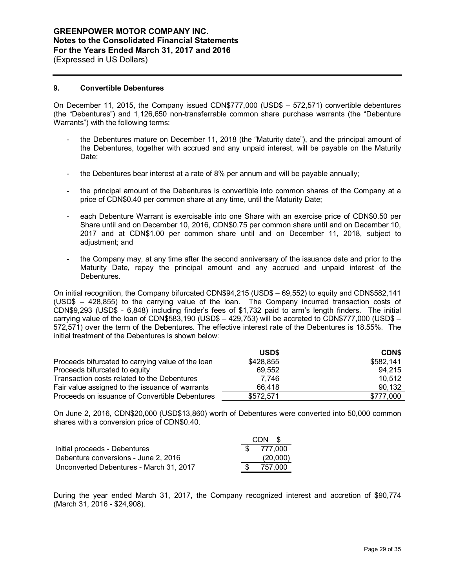(Expressed in US Dollars)

#### **9. Convertible Debentures**

On December 11, 2015, the Company issued CDN\$777,000 (USD\$ – 572,571) convertible debentures (the "Debentures") and 1,126,650 non-transferrable common share purchase warrants (the "Debenture Warrants") with the following terms:

- the Debentures mature on December 11, 2018 (the "Maturity date"), and the principal amount of the Debentures, together with accrued and any unpaid interest, will be payable on the Maturity Date:
- the Debentures bear interest at a rate of 8% per annum and will be payable annually;
- the principal amount of the Debentures is convertible into common shares of the Company at a price of CDN\$0.40 per common share at any time, until the Maturity Date;
- each Debenture Warrant is exercisable into one Share with an exercise price of CDN\$0.50 per Share until and on December 10, 2016, CDN\$0.75 per common share until and on December 10, 2017 and at CDN\$1.00 per common share until and on December 11, 2018, subject to adjustment; and
- the Company may, at any time after the second anniversary of the issuance date and prior to the Maturity Date, repay the principal amount and any accrued and unpaid interest of the Debentures.

On initial recognition, the Company bifurcated CDN\$94,215 (USD\$ – 69,552) to equity and CDN\$582,141 (USD\$ – 428,855) to the carrying value of the loan. The Company incurred transaction costs of CDN\$9,293 (USD\$ - 6,848) including finder's fees of \$1,732 paid to arm's length finders. The initial carrying value of the loan of CDN\$583,190 (USD\$ – 429,753) will be accreted to CDN\$777,000 (USD\$ – 572,571) over the term of the Debentures. The effective interest rate of the Debentures is 18.55%. The initial treatment of the Debentures is shown below:

|                                                   | USD\$     | <b>CDNS</b> |
|---------------------------------------------------|-----------|-------------|
| Proceeds bifurcated to carrying value of the loan | \$428,855 | \$582,141   |
| Proceeds bifurcated to equity                     | 69.552    | 94.215      |
| Transaction costs related to the Debentures       | 7.746     | 10.512      |
| Fair value assigned to the issuance of warrants   | 66.418    | 90.132      |
| Proceeds on issuance of Convertible Debentures    | \$572.571 | \$777,000   |

On June 2, 2016, CDN\$20,000 (USD\$13,860) worth of Debentures were converted into 50,000 common shares with a conversion price of CDN\$0.40.

|                                         | C <sub>DN</sub><br>- \$ |
|-----------------------------------------|-------------------------|
| Initial proceeds - Debentures           | 777.000                 |
| Debenture conversions - June 2, 2016    | (20,000)                |
| Unconverted Debentures - March 31, 2017 | 757.000                 |

During the year ended March 31, 2017, the Company recognized interest and accretion of \$90,774 (March 31, 2016 - \$24,908).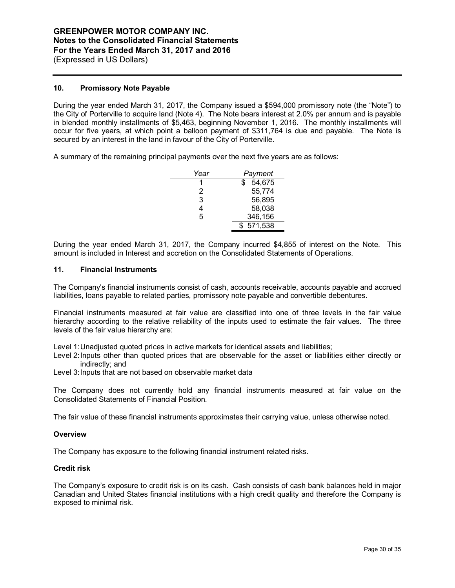(Expressed in US Dollars)

### **10. Promissory Note Payable**

During the year ended March 31, 2017, the Company issued a \$594,000 promissory note (the "Note") to the City of Porterville to acquire land (Note 4). The Note bears interest at 2.0% per annum and is payable in blended monthly installments of \$5,463, beginning November 1, 2016. The monthly installments will occur for five years, at which point a balloon payment of \$311,764 is due and payable. The Note is secured by an interest in the land in favour of the City of Porterville.

A summary of the remaining principal payments over the next five years are as follows:

| Year | Payment      |
|------|--------------|
| 1    | 54,675<br>\$ |
| 2    | 55,774       |
| 3    | 56,895       |
| 4    | 58,038       |
| 5    | 346,156      |
|      | \$571,538    |

During the year ended March 31, 2017, the Company incurred \$4,855 of interest on the Note. This amount is included in Interest and accretion on the Consolidated Statements of Operations.

# **11. Financial Instruments**

The Company's financial instruments consist of cash, accounts receivable, accounts payable and accrued liabilities, loans payable to related parties, promissory note payable and convertible debentures.

Financial instruments measured at fair value are classified into one of three levels in the fair value hierarchy according to the relative reliability of the inputs used to estimate the fair values. The three levels of the fair value hierarchy are:

Level 1: Unadjusted quoted prices in active markets for identical assets and liabilities;

Level 2: Inputs other than quoted prices that are observable for the asset or liabilities either directly or indirectly; and

Level 3: Inputs that are not based on observable market data

The Company does not currently hold any financial instruments measured at fair value on the Consolidated Statements of Financial Position.

The fair value of these financial instruments approximates their carrying value, unless otherwise noted.

#### **Overview**

The Company has exposure to the following financial instrument related risks.

#### **Credit risk**

The Company's exposure to credit risk is on its cash. Cash consists of cash bank balances held in major Canadian and United States financial institutions with a high credit quality and therefore the Company is exposed to minimal risk.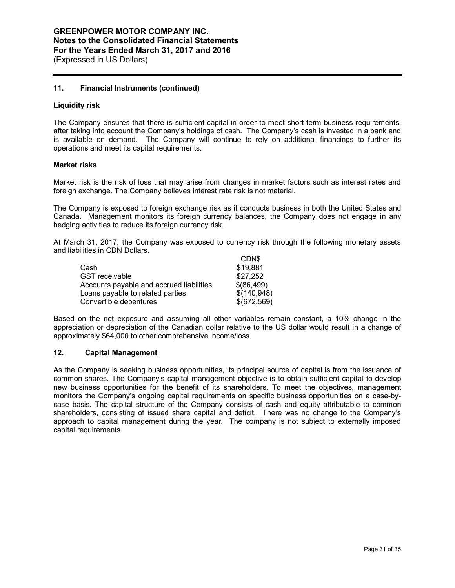(Expressed in US Dollars)

# **11. Financial Instruments (continued)**

#### **Liquidity risk**

The Company ensures that there is sufficient capital in order to meet short-term business requirements, after taking into account the Company's holdings of cash. The Company's cash is invested in a bank and is available on demand. The Company will continue to rely on additional financings to further its operations and meet its capital requirements.

#### **Market risks**

Market risk is the risk of loss that may arise from changes in market factors such as interest rates and foreign exchange. The Company believes interest rate risk is not material.

The Company is exposed to foreign exchange risk as it conducts business in both the United States and Canada. Management monitors its foreign currency balances, the Company does not engage in any hedging activities to reduce its foreign currency risk.

At March 31, 2017, the Company was exposed to currency risk through the following monetary assets and liabilities in CDN Dollars.  $CDN$ 

|                                          | <b>ULIND</b> |
|------------------------------------------|--------------|
| Cash                                     | \$19,881     |
| GST receivable                           | \$27,252     |
| Accounts payable and accrued liabilities | \$(86,499)   |
| Loans payable to related parties         | \$(140,948)  |
| Convertible debentures                   | \$(672,569)  |

Based on the net exposure and assuming all other variables remain constant, a 10% change in the appreciation or depreciation of the Canadian dollar relative to the US dollar would result in a change of approximately \$64,000 to other comprehensive income/loss.

### **12. Capital Management**

As the Company is seeking business opportunities, its principal source of capital is from the issuance of common shares. The Company's capital management objective is to obtain sufficient capital to develop new business opportunities for the benefit of its shareholders. To meet the objectives, management monitors the Company's ongoing capital requirements on specific business opportunities on a case-bycase basis. The capital structure of the Company consists of cash and equity attributable to common shareholders, consisting of issued share capital and deficit. There was no change to the Company's approach to capital management during the year. The company is not subject to externally imposed capital requirements.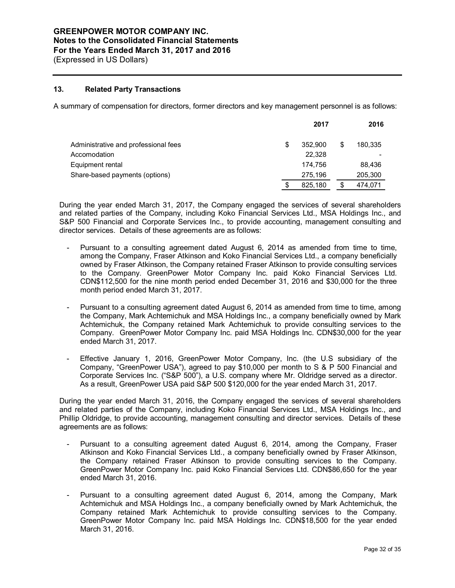# **13. Related Party Transactions**

A summary of compensation for directors, former directors and key management personnel is as follows:

|                                      |   | 2017    | 2016          |
|--------------------------------------|---|---------|---------------|
| Administrative and professional fees | S | 352.900 | \$<br>180.335 |
| Accomodation                         |   | 22.328  |               |
| Equipment rental                     |   | 174.756 | 88.436        |
| Share-based payments (options)       |   | 275,196 | 205,300       |
|                                      | S | 825,180 | \$<br>474,071 |

During the year ended March 31, 2017, the Company engaged the services of several shareholders and related parties of the Company, including Koko Financial Services Ltd., MSA Holdings Inc., and S&P 500 Financial and Corporate Services Inc., to provide accounting, management consulting and director services. Details of these agreements are as follows:

- Pursuant to a consulting agreement dated August 6, 2014 as amended from time to time, among the Company, Fraser Atkinson and Koko Financial Services Ltd., a company beneficially owned by Fraser Atkinson, the Company retained Fraser Atkinson to provide consulting services to the Company. GreenPower Motor Company Inc. paid Koko Financial Services Ltd. CDN\$112,500 for the nine month period ended December 31, 2016 and \$30,000 for the three month period ended March 31, 2017.
- Pursuant to a consulting agreement dated August 6, 2014 as amended from time to time, among the Company, Mark Achtemichuk and MSA Holdings Inc., a company beneficially owned by Mark Achtemichuk, the Company retained Mark Achtemichuk to provide consulting services to the Company. GreenPower Motor Company Inc. paid MSA Holdings Inc. CDN\$30,000 for the year ended March 31, 2017.
- Effective January 1, 2016, GreenPower Motor Company, Inc. (the U.S subsidiary of the Company, "GreenPower USA"), agreed to pay \$10,000 per month to S & P 500 Financial and Corporate Services Inc. ("S&P 500"), a U.S. company where Mr. Oldridge served as a director. As a result, GreenPower USA paid S&P 500 \$120,000 for the year ended March 31, 2017.

During the year ended March 31, 2016, the Company engaged the services of several shareholders and related parties of the Company, including Koko Financial Services Ltd., MSA Holdings Inc., and Phillip Oldridge, to provide accounting, management consulting and director services. Details of these agreements are as follows:

- Pursuant to a consulting agreement dated August 6, 2014, among the Company, Fraser Atkinson and Koko Financial Services Ltd., a company beneficially owned by Fraser Atkinson, the Company retained Fraser Atkinson to provide consulting services to the Company. GreenPower Motor Company Inc. paid Koko Financial Services Ltd. CDN\$86,650 for the year ended March 31, 2016.
- Pursuant to a consulting agreement dated August 6, 2014, among the Company, Mark Achtemichuk and MSA Holdings Inc., a company beneficially owned by Mark Achtemichuk, the Company retained Mark Achtemichuk to provide consulting services to the Company. GreenPower Motor Company Inc. paid MSA Holdings Inc. CDN\$18,500 for the year ended March 31, 2016.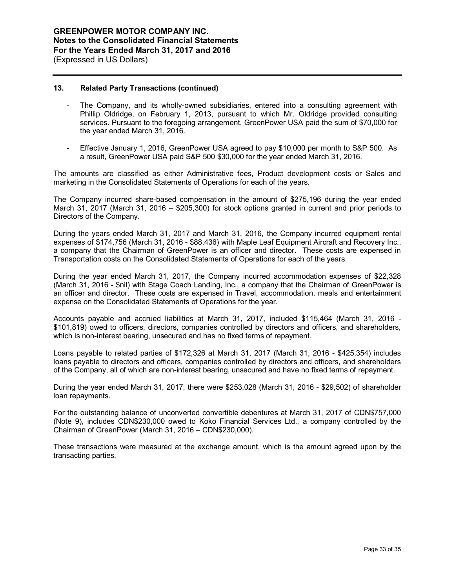### **13. Related Party Transactions (continued)**

- The Company, and its wholly-owned subsidiaries, entered into a consulting agreement with Phillip Oldridge, on February 1, 2013, pursuant to which Mr. Oldridge provided consulting services. Pursuant to the foregoing arrangement, GreenPower USA paid the sum of \$70,000 for the year ended March 31, 2016.
- Effective January 1, 2016, GreenPower USA agreed to pay \$10,000 per month to S&P 500. As a result, GreenPower USA paid S&P 500 \$30,000 for the year ended March 31, 2016.

The amounts are classified as either Administrative fees, Product development costs or Sales and marketing in the Consolidated Statements of Operations for each of the years.

The Company incurred share-based compensation in the amount of \$275,196 during the year ended March 31, 2017 (March 31, 2016 – \$205,300) for stock options granted in current and prior periods to Directors of the Company.

During the years ended March 31, 2017 and March 31, 2016, the Company incurred equipment rental expenses of \$174,756 (March 31, 2016 - \$88,436) with Maple Leaf Equipment Aircraft and Recovery Inc., a company that the Chairman of GreenPower is an officer and director. These costs are expensed in Transportation costs on the Consolidated Statements of Operations for each of the years.

During the year ended March 31, 2017, the Company incurred accommodation expenses of \$22,328 (March 31, 2016 - \$nil) with Stage Coach Landing, Inc., a company that the Chairman of GreenPower is an officer and director. These costs are expensed in Travel, accommodation, meals and entertainment expense on the Consolidated Statements of Operations for the year.

Accounts payable and accrued liabilities at March 31, 2017, included \$115,464 (March 31, 2016 - \$101,819) owed to officers, directors, companies controlled by directors and officers, and shareholders, which is non-interest bearing, unsecured and has no fixed terms of repayment.

Loans payable to related parties of \$172,326 at March 31, 2017 (March 31, 2016 - \$425,354) includes loans payable to directors and officers, companies controlled by directors and officers, and shareholders of the Company, all of which are non-interest bearing, unsecured and have no fixed terms of repayment.

During the year ended March 31, 2017, there were \$253,028 (March 31, 2016 - \$29,502) of shareholder loan repayments.

For the outstanding balance of unconverted convertible debentures at March 31, 2017 of CDN\$757,000 (Note 9), includes CDN\$230,000 owed to Koko Financial Services Ltd., a company controlled by the Chairman of GreenPower (March 31, 2016 – CDN\$230,000).

These transactions were measured at the exchange amount, which is the amount agreed upon by the transacting parties.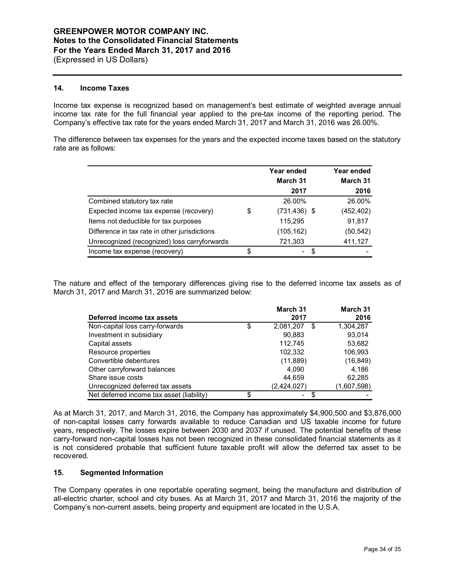# **14. Income Taxes**

Income tax expense is recognized based on management's best estimate of weighted average annual income tax rate for the full financial year applied to the pre-tax income of the reporting period. The Company's effective tax rate for the years ended March 31, 2017 and March 31, 2016 was 26.00%.

The difference between tax expenses for the years and the expected income taxes based on the statutory rate are as follows:

|                                               |    | Year ended      | Year ended |
|-----------------------------------------------|----|-----------------|------------|
|                                               |    | March 31        | March 31   |
|                                               |    | 2017            | 2016       |
| Combined statutory tax rate                   |    | 26.00%          | 26.00%     |
| Expected income tax expense (recovery)        | \$ | $(731, 436)$ \$ | (452, 402) |
| Items not deductible for tax purposes         |    | 115,295         | 91,817     |
| Difference in tax rate in other jurisdictions |    | (105,162)       | (50,542)   |
| Unrecognized (recognized) loss carryforwards  |    | 721,303         | 411,127    |
| Income tax expense (recovery)                 | S  | S<br>-          |            |

The nature and effect of the temporary differences giving rise to the deferred income tax assets as of March 31, 2017 and March 31, 2016 are summarized below:

|                                           | March 31             | March 31    |
|-------------------------------------------|----------------------|-------------|
| Deferred income tax assets                | 2017                 | 2016        |
| Non-capital loss carry-forwards           | \$<br>2,081,207<br>S | 1,304,287   |
| Investment in subsidiary                  | 90,883               | 93.014      |
| Capital assets                            | 112,745              | 53,682      |
| Resource properties                       | 102.332              | 106,993     |
| Convertible debentures                    | (11, 889)            | (16, 849)   |
| Other carryforward balances               | 4.090                | 4.186       |
| Share issue costs                         | 44.659               | 62,285      |
| Unrecognized deferred tax assets          | (2,424,027)          | (1,607,598) |
| Net deferred income tax asset (liability) | \$<br>-              |             |

As at March 31, 2017, and March 31, 2016, the Company has approximately \$4,900,500 and \$3,876,000 of non-capital losses carry forwards available to reduce Canadian and US taxable income for future years, respectively. The losses expire between 2030 and 2037 if unused. The potential benefits of these carry-forward non-capital losses has not been recognized in these consolidated financial statements as it is not considered probable that sufficient future taxable profit will allow the deferred tax asset to be recovered.

### **15. Segmented Information**

The Company operates in one reportable operating segment, being the manufacture and distribution of all-electric charter, school and city buses. As at March 31, 2017 and March 31, 2016 the majority of the Company's non-current assets, being property and equipment are located in the U.S.A.